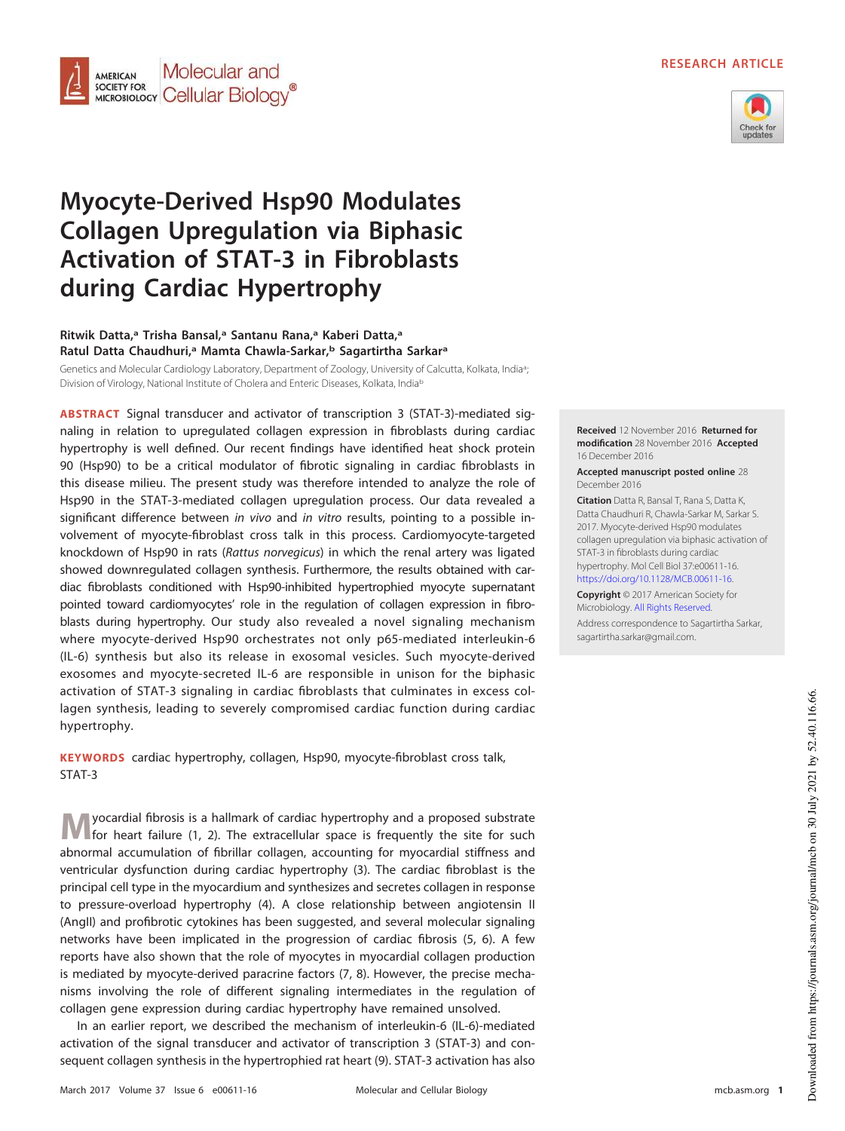# **RESEARCH ARTICLE**



# **Myocyte-Derived Hsp90 Modulates Collagen Upregulation via Biphasic Activation of STAT-3 in Fibroblasts during Cardiac Hypertrophy**

Molecular and

MICROBIOLOGY Cellular Biology

**AMERICAN SOCIETY FOR** 

## **Ritwik Datta,<sup>a</sup> Trisha Bansal,<sup>a</sup> Santanu Rana,<sup>a</sup> Kaberi Datta,<sup>a</sup> Ratul Datta Chaudhuri,<sup>a</sup> Mamta Chawla-Sarkar,<sup>b</sup> Sagartirtha Sarkar<sup>a</sup>**

Genetics and Molecular Cardiology Laboratory, Department of Zoology, University of Calcutta, Kolkata, India<sup>a</sup>; ; Division of Virology, National Institute of Cholera and Enteric Diseases, Kolkata, India<sup>b</sup>

**ABSTRACT** Signal transducer and activator of transcription 3 (STAT-3)-mediated signaling in relation to upregulated collagen expression in fibroblasts during cardiac hypertrophy is well defined. Our recent findings have identified heat shock protein 90 (Hsp90) to be a critical modulator of fibrotic signaling in cardiac fibroblasts in this disease milieu. The present study was therefore intended to analyze the role of Hsp90 in the STAT-3-mediated collagen upregulation process. Our data revealed a significant difference between in vivo and in vitro results, pointing to a possible involvement of myocyte-fibroblast cross talk in this process. Cardiomyocyte-targeted knockdown of Hsp90 in rats (Rattus norvegicus) in which the renal artery was ligated showed downregulated collagen synthesis. Furthermore, the results obtained with cardiac fibroblasts conditioned with Hsp90-inhibited hypertrophied myocyte supernatant pointed toward cardiomyocytes' role in the regulation of collagen expression in fibroblasts during hypertrophy. Our study also revealed a novel signaling mechanism where myocyte-derived Hsp90 orchestrates not only p65-mediated interleukin-6 (IL-6) synthesis but also its release in exosomal vesicles. Such myocyte-derived exosomes and myocyte-secreted IL-6 are responsible in unison for the biphasic activation of STAT-3 signaling in cardiac fibroblasts that culminates in excess collagen synthesis, leading to severely compromised cardiac function during cardiac hypertrophy.

**KEYWORDS** cardiac hypertrophy, collagen, Hsp90, myocyte-fibroblast cross talk, STAT-3

**M** yocardial fibrosis is a hallmark of cardiac hypertrophy and a proposed substrate<br>for heart failure [\(1,](#page-22-0) [2\)](#page-22-1). The extracellular space is frequently the site for such yocardial fibrosis is a hallmark of cardiac hypertrophy and a proposed substrate abnormal accumulation of fibrillar collagen, accounting for myocardial stiffness and ventricular dysfunction during cardiac hypertrophy [\(3\)](#page-22-2). The cardiac fibroblast is the principal cell type in the myocardium and synthesizes and secretes collagen in response to pressure-overload hypertrophy [\(4\)](#page-22-3). A close relationship between angiotensin II (AngII) and profibrotic cytokines has been suggested, and several molecular signaling networks have been implicated in the progression of cardiac fibrosis [\(5,](#page-22-4) [6\)](#page-22-5). A few reports have also shown that the role of myocytes in myocardial collagen production is mediated by myocyte-derived paracrine factors [\(7,](#page-22-6) [8\)](#page-22-7). However, the precise mechanisms involving the role of different signaling intermediates in the regulation of collagen gene expression during cardiac hypertrophy have remained unsolved.

In an earlier report, we described the mechanism of interleukin-6 (IL-6)-mediated activation of the signal transducer and activator of transcription 3 (STAT-3) and consequent collagen synthesis in the hypertrophied rat heart [\(9\)](#page-22-8). STAT-3 activation has also



**Received** 12 November 2016 **Returned for**

December 2016

**Citation** Datta R, Bansal T, Rana S, Datta K, Datta Chaudhuri R, Chawla-Sarkar M, Sarkar S. 2017. Myocyte-derived Hsp90 modulates collagen upregulation via biphasic activation of STAT-3 in fibroblasts during cardiac hypertrophy. Mol Cell Biol 37:e00611-16. https://doi.org/10.1128/MCB.00611-16.

**Copyright** © 2017 American Society for Microbiology. All Rights Reserved.

Address correspondence to Sagartirtha Sarkar, sagartirtha.sarkar@gmail.com.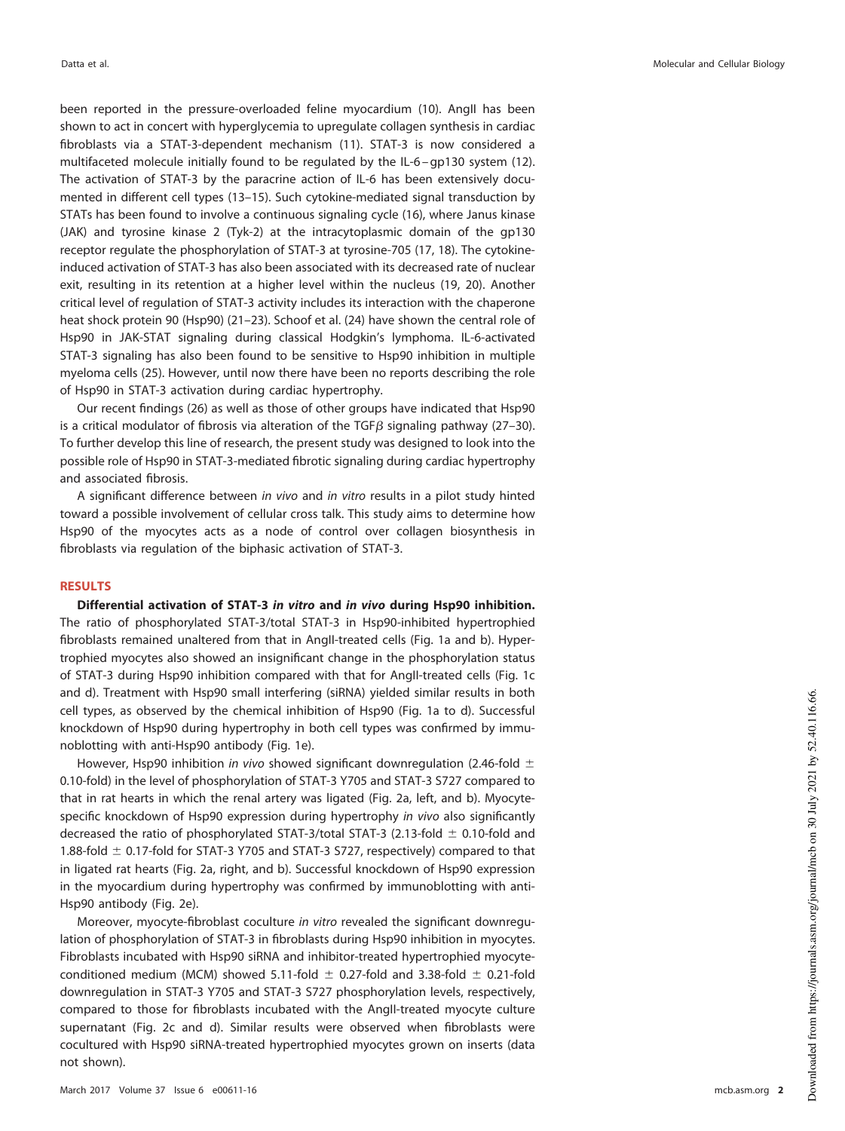been reported in the pressure-overloaded feline myocardium [\(10\)](#page-22-9). AngII has been shown to act in concert with hyperglycemia to upregulate collagen synthesis in cardiac fibroblasts via a STAT-3-dependent mechanism [\(11\)](#page-22-10). STAT-3 is now considered a multifaceted molecule initially found to be regulated by the IL-6 – gp130 system [\(12\)](#page-22-11). The activation of STAT-3 by the paracrine action of IL-6 has been extensively documented in different cell types [\(13](#page-22-12)[–](#page-22-13)[15\)](#page-22-14). Such cytokine-mediated signal transduction by STATs has been found to involve a continuous signaling cycle [\(16\)](#page-22-15), where Janus kinase (JAK) and tyrosine kinase 2 (Tyk-2) at the intracytoplasmic domain of the gp130 receptor regulate the phosphorylation of STAT-3 at tyrosine-705 [\(17,](#page-22-16) [18\)](#page-23-0). The cytokineinduced activation of STAT-3 has also been associated with its decreased rate of nuclear exit, resulting in its retention at a higher level within the nucleus [\(19,](#page-23-1) [20\)](#page-23-2). Another critical level of regulation of STAT-3 activity includes its interaction with the chaperone heat shock protein 90 (Hsp90) [\(21](#page-23-3)[–](#page-23-4)[23\)](#page-23-5). Schoof et al. [\(24\)](#page-23-6) have shown the central role of Hsp90 in JAK-STAT signaling during classical Hodgkin's lymphoma. IL-6-activated STAT-3 signaling has also been found to be sensitive to Hsp90 inhibition in multiple myeloma cells [\(25\)](#page-23-7). However, until now there have been no reports describing the role of Hsp90 in STAT-3 activation during cardiac hypertrophy.

Our recent findings [\(26\)](#page-23-8) as well as those of other groups have indicated that Hsp90 is a critical modulator of fibrosis via alteration of the TGF $\beta$  signaling pathway [\(27](#page-23-9)[–](#page-23-10)[30\)](#page-23-11). To further develop this line of research, the present study was designed to look into the possible role of Hsp90 in STAT-3-mediated fibrotic signaling during cardiac hypertrophy and associated fibrosis.

A significant difference between in vivo and in vitro results in a pilot study hinted toward a possible involvement of cellular cross talk. This study aims to determine how Hsp90 of the myocytes acts as a node of control over collagen biosynthesis in fibroblasts via regulation of the biphasic activation of STAT-3.

### **RESULTS**

**Differential activation of STAT-3 in vitro and in vivo during Hsp90 inhibition.** The ratio of phosphorylated STAT-3/total STAT-3 in Hsp90-inhibited hypertrophied fibroblasts remained unaltered from that in AngII-treated cells [\(Fig. 1a](#page-2-0) and [b\)](#page-2-0). Hypertrophied myocytes also showed an insignificant change in the phosphorylation status of STAT-3 during Hsp90 inhibition compared with that for AngII-treated cells [\(Fig. 1c](#page-2-0) and [d\)](#page-2-0). Treatment with Hsp90 small interfering (siRNA) yielded similar results in both cell types, as observed by the chemical inhibition of Hsp90 [\(Fig. 1a](#page-2-0) to [d\)](#page-2-0). Successful knockdown of Hsp90 during hypertrophy in both cell types was confirmed by immunoblotting with anti-Hsp90 antibody [\(Fig. 1e\)](#page-2-0).

However, Hsp90 inhibition in vivo showed significant downregulation (2.46-fold  $\pm$ 0.10-fold) in the level of phosphorylation of STAT-3 Y705 and STAT-3 S727 compared to that in rat hearts in which the renal artery was ligated [\(Fig. 2a,](#page-3-0) left, and [b\)](#page-3-0). Myocytespecific knockdown of Hsp90 expression during hypertrophy in vivo also significantly decreased the ratio of phosphorylated STAT-3/total STAT-3 (2.13-fold  $\pm$  0.10-fold and 1.88-fold  $\pm$  0.17-fold for STAT-3 Y705 and STAT-3 S727, respectively) compared to that in ligated rat hearts [\(Fig. 2a,](#page-3-0) right, and [b\)](#page-3-0). Successful knockdown of Hsp90 expression in the myocardium during hypertrophy was confirmed by immunoblotting with anti-Hsp90 antibody [\(Fig. 2e\)](#page-3-0).

Moreover, myocyte-fibroblast coculture in vitro revealed the significant downregulation of phosphorylation of STAT-3 in fibroblasts during Hsp90 inhibition in myocytes. Fibroblasts incubated with Hsp90 siRNA and inhibitor-treated hypertrophied myocyteconditioned medium (MCM) showed 5.11-fold  $\pm$  0.27-fold and 3.38-fold  $\pm$  0.21-fold downregulation in STAT-3 Y705 and STAT-3 S727 phosphorylation levels, respectively, compared to those for fibroblasts incubated with the AngII-treated myocyte culture supernatant [\(Fig. 2c](#page-3-0) and [d\)](#page-3-0). Similar results were observed when fibroblasts were cocultured with Hsp90 siRNA-treated hypertrophied myocytes grown on inserts (data not shown).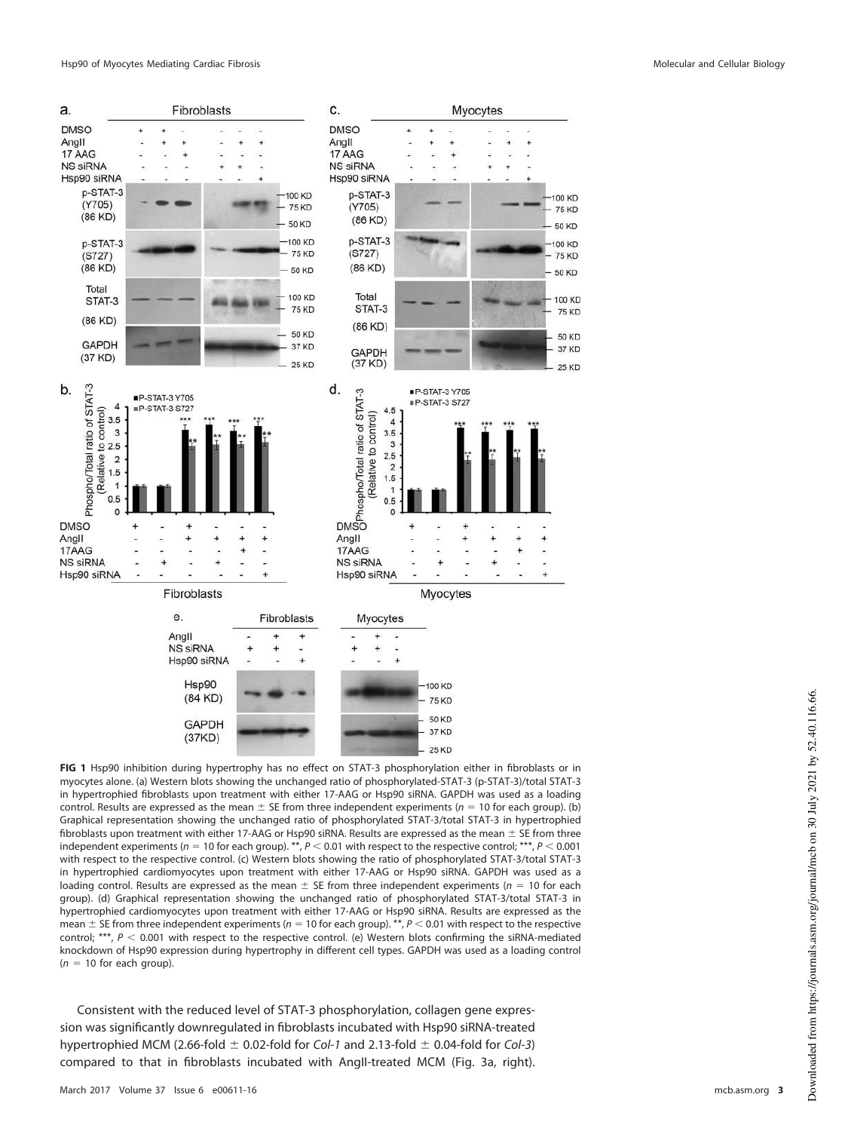

<span id="page-2-0"></span>**FIG 1** Hsp90 inhibition during hypertrophy has no effect on STAT-3 phosphorylation either in fibroblasts or in myocytes alone. (a) Western blots showing the unchanged ratio of phosphorylated-STAT-3 (p-STAT-3)/total STAT-3 in hypertrophied fibroblasts upon treatment with either 17-AAG or Hsp90 siRNA. GAPDH was used as a loading control. Results are expressed as the mean  $\pm$  SE from three independent experiments ( $n = 10$  for each group). (b) Graphical representation showing the unchanged ratio of phosphorylated STAT-3/total STAT-3 in hypertrophied fibroblasts upon treatment with either 17-AAG or Hsp90 siRNA. Results are expressed as the mean  $\pm$  SE from three independent experiments ( $n = 10$  for each group). \*\*,  $P < 0.01$  with respect to the respective control; \*\*\*,  $P < 0.001$ with respect to the respective control. (c) Western blots showing the ratio of phosphorylated STAT-3/total STAT-3 in hypertrophied cardiomyocytes upon treatment with either 17-AAG or Hsp90 siRNA. GAPDH was used as a loading control. Results are expressed as the mean  $\pm$  SE from three independent experiments ( $n = 10$  for each group). (d) Graphical representation showing the unchanged ratio of phosphorylated STAT-3/total STAT-3 in hypertrophied cardiomyocytes upon treatment with either 17-AAG or Hsp90 siRNA. Results are expressed as the mean  $\pm$  SE from three independent experiments ( $n = 10$  for each group). \*\*,  $P < 0.01$  with respect to the respective control; \*\*\*,  $P < 0.001$  with respect to the respective control. (e) Western blots confirming the siRNA-mediated knockdown of Hsp90 expression during hypertrophy in different cell types. GAPDH was used as a loading control  $(n = 10$  for each group).

Consistent with the reduced level of STAT-3 phosphorylation, collagen gene expression was significantly downregulated in fibroblasts incubated with Hsp90 siRNA-treated hypertrophied MCM (2.66-fold  $\pm$  0.02-fold for Col-1 and 2.13-fold  $\pm$  0.04-fold for Col-3) compared to that in fibroblasts incubated with AngII-treated MCM [\(Fig. 3a,](#page-5-0) right).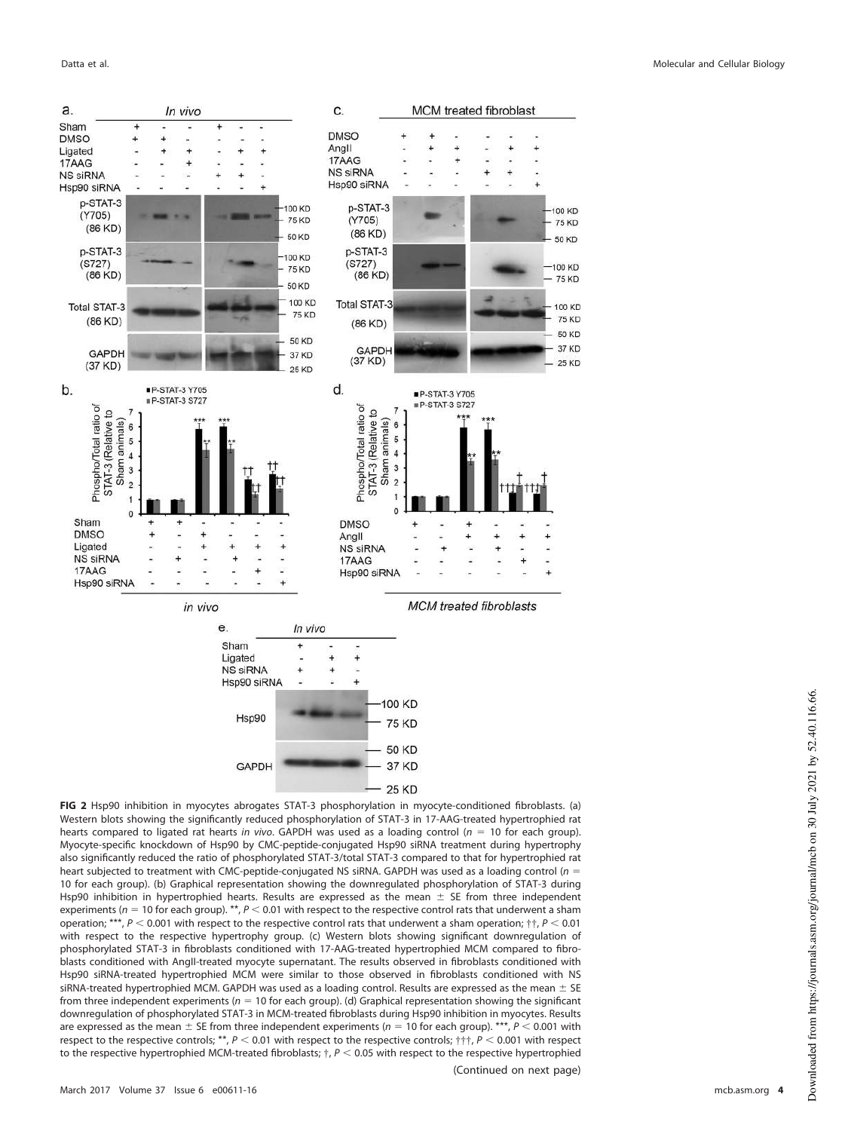

<span id="page-3-0"></span>**FIG 2** Hsp90 inhibition in myocytes abrogates STAT-3 phosphorylation in myocyte-conditioned fibroblasts. (a) Western blots showing the significantly reduced phosphorylation of STAT-3 in 17-AAG-treated hypertrophied rat hearts compared to ligated rat hearts in vivo. GAPDH was used as a loading control ( $n = 10$  for each group). Myocyte-specific knockdown of Hsp90 by CMC-peptide-conjugated Hsp90 siRNA treatment during hypertrophy also significantly reduced the ratio of phosphorylated STAT-3/total STAT-3 compared to that for hypertrophied rat heart subjected to treatment with CMC-peptide-conjugated NS siRNA. GAPDH was used as a loading control ( $n =$ 10 for each group). (b) Graphical representation showing the downregulated phosphorylation of STAT-3 during Hsp90 inhibition in hypertrophied hearts. Results are expressed as the mean  $\pm$  SE from three independent experiments ( $n = 10$  for each group). \*\*,  $P < 0.01$  with respect to the respective control rats that underwent a sham operation; \*\*\*,  $P < 0.001$  with respect to the respective control rats that underwent a sham operation;  $\dagger \dagger$ ,  $P < 0.01$ with respect to the respective hypertrophy group. (c) Western blots showing significant downregulation of phosphorylated STAT-3 in fibroblasts conditioned with 17-AAG-treated hypertrophied MCM compared to fibroblasts conditioned with AngII-treated myocyte supernatant. The results observed in fibroblasts conditioned with Hsp90 siRNA-treated hypertrophied MCM were similar to those observed in fibroblasts conditioned with NS siRNA-treated hypertrophied MCM. GAPDH was used as a loading control. Results are expressed as the mean  $\pm$  SE from three independent experiments ( $n = 10$  for each group). (d) Graphical representation showing the significant downregulation of phosphorylated STAT-3 in MCM-treated fibroblasts during Hsp90 inhibition in myocytes. Results are expressed as the mean  $\pm$  SE from three independent experiments ( $n = 10$  for each group). \*\*\*,  $P < 0.001$  with respect to the respective controls; \*\*,  $P < 0.01$  with respect to the respective controls;  $\pm \pm$ ,  $P < 0.001$  with respect to the respective hypertrophied MCM-treated fibroblasts;  $\dagger$ ,  $P < 0.05$  with respect to the respective hypertrophied

(Continued on next page)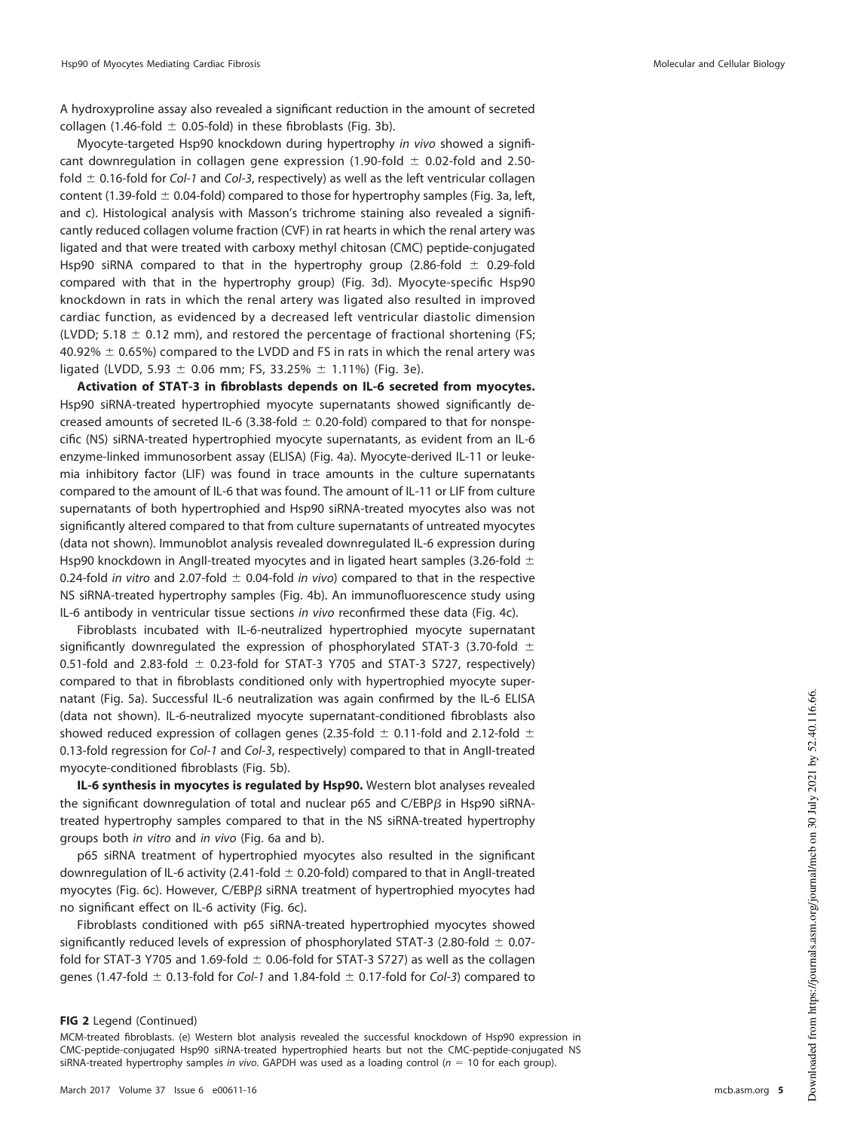A hydroxyproline assay also revealed a significant reduction in the amount of secreted collagen (1.46-fold  $\pm$  0.05-fold) in these fibroblasts [\(Fig. 3b\)](#page-5-0).

Myocyte-targeted Hsp90 knockdown during hypertrophy in vivo showed a significant downregulation in collagen gene expression (1.90-fold  $\pm$  0.02-fold and 2.50fold  $\pm$  0.16-fold for Col-1 and Col-3, respectively) as well as the left ventricular collagen content (1.39-fold  $\pm$  0.04-fold) compared to those for hypertrophy samples [\(Fig. 3a,](#page-5-0) left, and [c\)](#page-5-0). Histological analysis with Masson's trichrome staining also revealed a significantly reduced collagen volume fraction (CVF) in rat hearts in which the renal artery was ligated and that were treated with carboxy methyl chitosan (CMC) peptide-conjugated Hsp90 siRNA compared to that in the hypertrophy group (2.86-fold  $\pm$  0.29-fold compared with that in the hypertrophy group) [\(Fig. 3d\)](#page-5-0). Myocyte-specific Hsp90 knockdown in rats in which the renal artery was ligated also resulted in improved cardiac function, as evidenced by a decreased left ventricular diastolic dimension (LVDD; 5.18  $\pm$  0.12 mm), and restored the percentage of fractional shortening (FS;  $40.92\% \pm 0.65\%$ ) compared to the LVDD and FS in rats in which the renal artery was ligated (LVDD, 5.93  $\pm$  0.06 mm; FS, 33.25%  $\pm$  1.11%) [\(Fig. 3e\)](#page-5-0).

**Activation of STAT-3 in fibroblasts depends on IL-6 secreted from myocytes.** Hsp90 siRNA-treated hypertrophied myocyte supernatants showed significantly decreased amounts of secreted IL-6 (3.38-fold  $\pm$  0.20-fold) compared to that for nonspecific (NS) siRNA-treated hypertrophied myocyte supernatants, as evident from an IL-6 enzyme-linked immunosorbent assay (ELISA) [\(Fig. 4a\)](#page-7-0). Myocyte-derived IL-11 or leukemia inhibitory factor (LIF) was found in trace amounts in the culture supernatants compared to the amount of IL-6 that was found. The amount of IL-11 or LIF from culture supernatants of both hypertrophied and Hsp90 siRNA-treated myocytes also was not significantly altered compared to that from culture supernatants of untreated myocytes (data not shown). Immunoblot analysis revealed downregulated IL-6 expression during Hsp90 knockdown in AngII-treated myocytes and in ligated heart samples (3.26-fold  $\pm$ 0.24-fold in vitro and 2.07-fold  $\pm$  0.04-fold in vivo) compared to that in the respective NS siRNA-treated hypertrophy samples [\(Fig. 4b\)](#page-7-0). An immunofluorescence study using IL-6 antibody in ventricular tissue sections in vivo reconfirmed these data [\(Fig. 4c\)](#page-7-0).

Fibroblasts incubated with IL-6-neutralized hypertrophied myocyte supernatant significantly downregulated the expression of phosphorylated STAT-3 (3.70-fold  $\pm$ 0.51-fold and 2.83-fold  $\pm$  0.23-fold for STAT-3 Y705 and STAT-3 S727, respectively) compared to that in fibroblasts conditioned only with hypertrophied myocyte supernatant [\(Fig. 5a\)](#page-8-0). Successful IL-6 neutralization was again confirmed by the IL-6 ELISA (data not shown). IL-6-neutralized myocyte supernatant-conditioned fibroblasts also showed reduced expression of collagen genes (2.35-fold  $\pm$  0.11-fold and 2.12-fold  $\pm$ 0.13-fold regression for Col-1 and Col-3, respectively) compared to that in AngII-treated myocyte-conditioned fibroblasts [\(Fig. 5b\)](#page-8-0).

**IL-6 synthesis in myocytes is regulated by Hsp90.** Western blot analyses revealed the significant downregulation of total and nuclear p65 and C/EBP $\beta$  in Hsp90 siRNAtreated hypertrophy samples compared to that in the NS siRNA-treated hypertrophy groups both in vitro and in vivo [\(Fig. 6a](#page-9-0) and [b\)](#page-9-0).

p65 siRNA treatment of hypertrophied myocytes also resulted in the significant downregulation of IL-6 activity (2.41-fold  $\pm$  0.20-fold) compared to that in AngII-treated myocytes [\(Fig. 6c\)](#page-9-0). However, C/EBP $\beta$  siRNA treatment of hypertrophied myocytes had no significant effect on IL-6 activity [\(Fig. 6c\)](#page-9-0).

Fibroblasts conditioned with p65 siRNA-treated hypertrophied myocytes showed significantly reduced levels of expression of phosphorylated STAT-3 (2.80-fold  $\pm$  0.07fold for STAT-3 Y705 and 1.69-fold  $\pm$  0.06-fold for STAT-3 S727) as well as the collagen genes (1.47-fold  $\pm$  0.13-fold for Col-1 and 1.84-fold  $\pm$  0.17-fold for Col-3) compared to

## **FIG 2** Legend (Continued)

MCM-treated fibroblasts. (e) Western blot analysis revealed the successful knockdown of Hsp90 expression in CMC-peptide-conjugated Hsp90 siRNA-treated hypertrophied hearts but not the CMC-peptide-conjugated NS siRNA-treated hypertrophy samples in vivo. GAPDH was used as a loading control ( $n = 10$  for each group).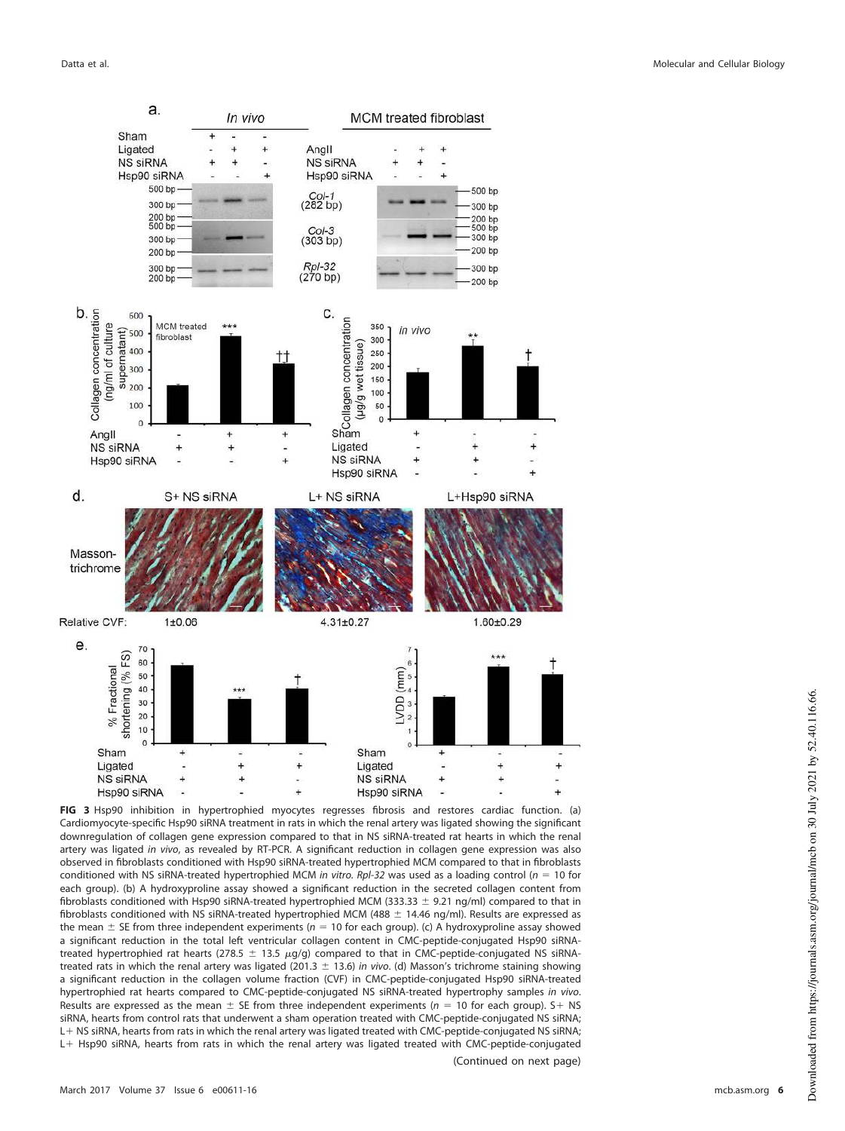

<span id="page-5-0"></span>**FIG 3** Hsp90 inhibition in hypertrophied myocytes regresses fibrosis and restores cardiac function. (a) Cardiomyocyte-specific Hsp90 siRNA treatment in rats in which the renal artery was ligated showing the significant downregulation of collagen gene expression compared to that in NS siRNA-treated rat hearts in which the renal artery was ligated in vivo, as revealed by RT-PCR. A significant reduction in collagen gene expression was also observed in fibroblasts conditioned with Hsp90 siRNA-treated hypertrophied MCM compared to that in fibroblasts conditioned with NS siRNA-treated hypertrophied MCM in vitro. Rpl-32 was used as a loading control ( $n = 10$  for each group). (b) A hydroxyproline assay showed a significant reduction in the secreted collagen content from fibroblasts conditioned with Hsp90 siRNA-treated hypertrophied MCM (333.33  $\pm$  9.21 ng/ml) compared to that in fibroblasts conditioned with NS siRNA-treated hypertrophied MCM (488  $\pm$  14.46 ng/ml). Results are expressed as the mean  $\pm$  SE from three independent experiments ( $n = 10$  for each group). (c) A hydroxyproline assay showed a significant reduction in the total left ventricular collagen content in CMC-peptide-conjugated Hsp90 siRNAtreated hypertrophied rat hearts (278.5  $\pm$  13.5  $\mu$ g/g) compared to that in CMC-peptide-conjugated NS siRNAtreated rats in which the renal artery was ligated (201.3  $\pm$  13.6) in vivo. (d) Masson's trichrome staining showing a significant reduction in the collagen volume fraction (CVF) in CMC-peptide-conjugated Hsp90 siRNA-treated hypertrophied rat hearts compared to CMC-peptide-conjugated NS siRNA-treated hypertrophy samples in vivo. Results are expressed as the mean  $\pm$  SE from three independent experiments ( $n = 10$  for each group). S + NS siRNA, hearts from control rats that underwent a sham operation treated with CMC-peptide-conjugated NS siRNA; L + NS siRNA, hearts from rats in which the renal artery was ligated treated with CMC-peptide-conjugated NS siRNA; L+ Hsp90 siRNA, hearts from rats in which the renal artery was ligated treated with CMC-peptide-conjugated (Continued on next page)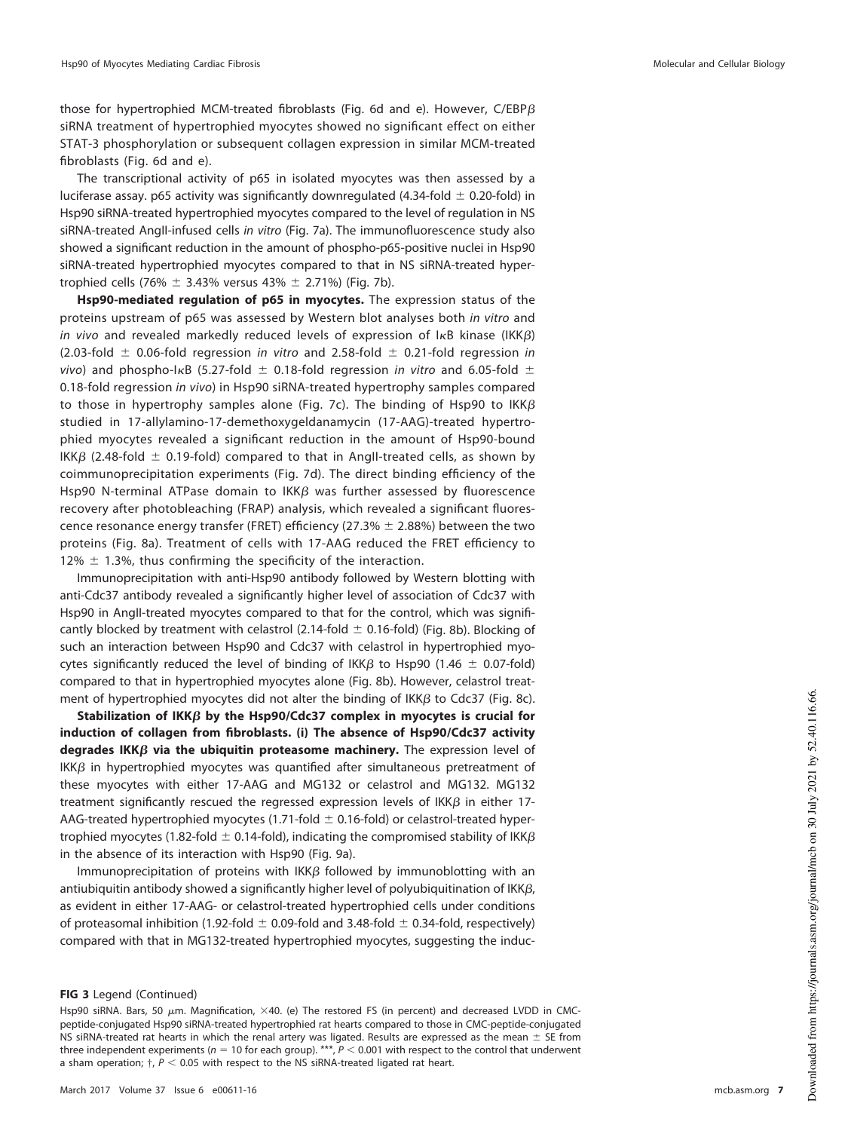those for hypertrophied MCM-treated fibroblasts [\(Fig. 6d](#page-9-0) and [e\)](#page-9-0). However, C/EBP $\beta$ siRNA treatment of hypertrophied myocytes showed no significant effect on either STAT-3 phosphorylation or subsequent collagen expression in similar MCM-treated fibroblasts [\(Fig. 6d](#page-9-0) and [e\)](#page-9-0).

The transcriptional activity of p65 in isolated myocytes was then assessed by a luciferase assay. p65 activity was significantly downregulated (4.34-fold  $\pm$  0.20-fold) in Hsp90 siRNA-treated hypertrophied myocytes compared to the level of regulation in NS siRNA-treated AngII-infused cells in vitro [\(Fig. 7a\)](#page-10-0). The immunofluorescence study also showed a significant reduction in the amount of phospho-p65-positive nuclei in Hsp90 siRNA-treated hypertrophied myocytes compared to that in NS siRNA-treated hypertrophied cells (76%  $\pm$  3.43% versus 43%  $\pm$  2.71%) [\(Fig. 7b\)](#page-10-0).

**Hsp90-mediated regulation of p65 in myocytes.** The expression status of the proteins upstream of p65 was assessed by Western blot analyses both in vitro and *in vivo* and revealed markedly reduced levels of expression of I $\kappa$ B kinase (IKK $\beta$ )  $(2.03-fold \pm 0.06-fold$  regression in vitro and 2.58-fold  $\pm$  0.21-fold regression in vivo) and phospho-I $\kappa$ B (5.27-fold  $\pm$  0.18-fold regression in vitro and 6.05-fold  $\pm$ 0.18-fold regression in vivo) in Hsp90 siRNA-treated hypertrophy samples compared to those in hypertrophy samples alone [\(Fig. 7c\)](#page-10-0). The binding of Hsp90 to IKK $\beta$ studied in 17-allylamino-17-demethoxygeldanamycin (17-AAG)-treated hypertrophied myocytes revealed a significant reduction in the amount of Hsp90-bound IKK $\beta$  (2.48-fold  $\pm$  0.19-fold) compared to that in AngII-treated cells, as shown by coimmunoprecipitation experiments [\(Fig. 7d\)](#page-10-0). The direct binding efficiency of the Hsp90 N-terminal ATPase domain to IKK $\beta$  was further assessed by fluorescence recovery after photobleaching (FRAP) analysis, which revealed a significant fluorescence resonance energy transfer (FRET) efficiency (27.3%  $\pm$  2.88%) between the two proteins [\(Fig. 8a\)](#page-11-0). Treatment of cells with 17-AAG reduced the FRET efficiency to 12%  $\pm$  1.3%, thus confirming the specificity of the interaction.

Immunoprecipitation with anti-Hsp90 antibody followed by Western blotting with anti-Cdc37 antibody revealed a significantly higher level of association of Cdc37 with Hsp90 in AngII-treated myocytes compared to that for the control, which was significantly blocked by treatment with celastrol (2.14-fold  $\pm$  0.16-fold) [\(Fig. 8b\)](#page-11-0). Blocking of such an interaction between Hsp90 and Cdc37 with celastrol in hypertrophied myocytes significantly reduced the level of binding of IKK $\beta$  to Hsp90 (1.46  $\pm$  0.07-fold) compared to that in hypertrophied myocytes alone [\(Fig. 8b\)](#page-11-0). However, celastrol treatment of hypertrophied myocytes did not alter the binding of IKK $\beta$  to Cdc37 [\(Fig. 8c\)](#page-11-0).

Stabilization of IKKβ by the Hsp90/Cdc37 complex in myocytes is crucial for **induction of collagen from fibroblasts. (i) The absence of Hsp90/Cdc37 activity degrades IKKβ via the ubiquitin proteasome machinery.** The expression level of  $IKK\beta$  in hypertrophied myocytes was quantified after simultaneous pretreatment of these myocytes with either 17-AAG and MG132 or celastrol and MG132. MG132 treatment significantly rescued the regressed expression levels of IKK $\beta$  in either 17-AAG-treated hypertrophied myocytes (1.71-fold  $\pm$  0.16-fold) or celastrol-treated hypertrophied myocytes (1.82-fold  $\pm$  0.14-fold), indicating the compromised stability of IKK $\beta$ in the absence of its interaction with Hsp90 [\(Fig. 9a\)](#page-12-0).

Immunoprecipitation of proteins with IKK $\beta$  followed by immunoblotting with an antiubiquitin antibody showed a significantly higher level of polyubiquitination of IKK $\beta$ , as evident in either 17-AAG- or celastrol-treated hypertrophied cells under conditions of proteasomal inhibition (1.92-fold  $\pm$  0.09-fold and 3.48-fold  $\pm$  0.34-fold, respectively) compared with that in MG132-treated hypertrophied myocytes, suggesting the induc-

#### **FIG 3** Legend (Continued)

Hsp90 siRNA. Bars, 50  $\mu$ m. Magnification, ×40. (e) The restored FS (in percent) and decreased LVDD in CMCpeptide-conjugated Hsp90 siRNA-treated hypertrophied rat hearts compared to those in CMC-peptide-conjugated NS siRNA-treated rat hearts in which the renal artery was ligated. Results are expressed as the mean  $\pm$  SE from three independent experiments ( $n = 10$  for each group). \*\*\*,  $P < 0.001$  with respect to the control that underwent a sham operation;  $\dagger$ ,  $P$  < 0.05 with respect to the NS siRNA-treated ligated rat heart.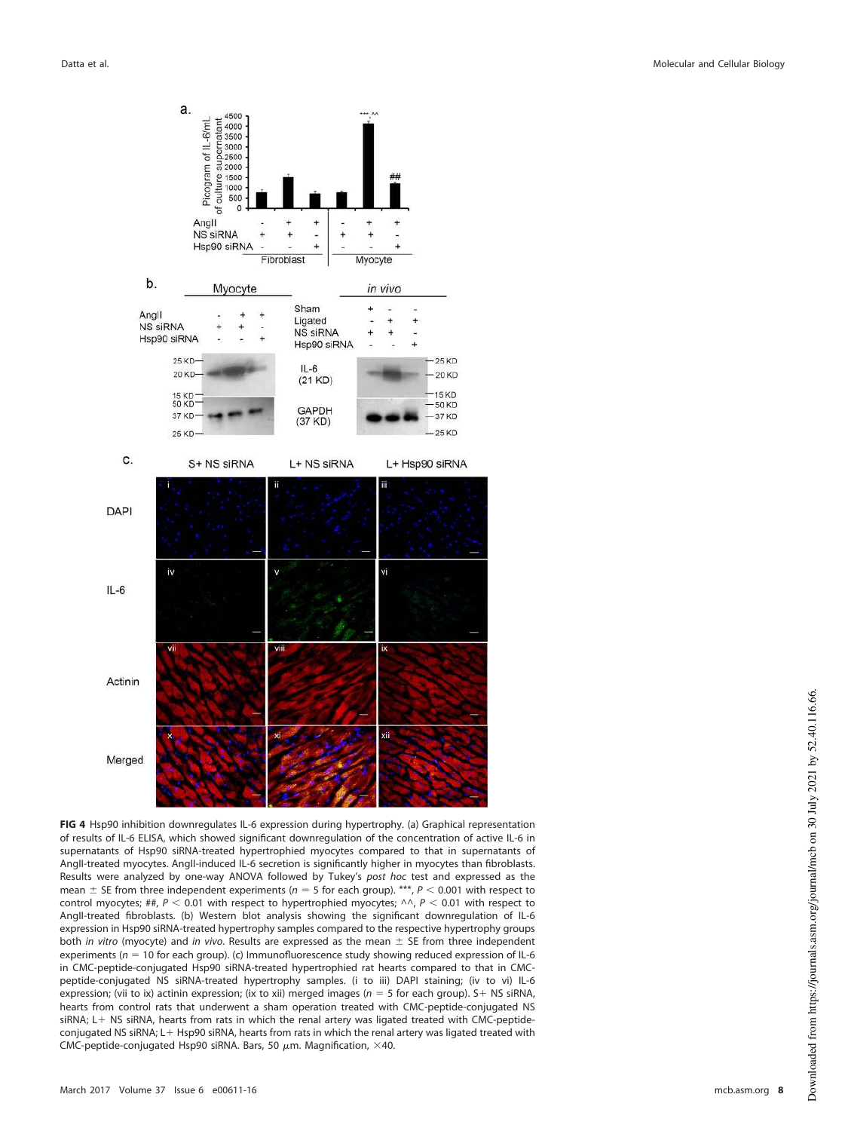

<span id="page-7-0"></span>**FIG 4** Hsp90 inhibition downregulates IL-6 expression during hypertrophy. (a) Graphical representation of results of IL-6 ELISA, which showed significant downregulation of the concentration of active IL-6 in supernatants of Hsp90 siRNA-treated hypertrophied myocytes compared to that in supernatants of AngII-treated myocytes. AngII-induced IL-6 secretion is significantly higher in myocytes than fibroblasts. Results were analyzed by one-way ANOVA followed by Tukey's post hoc test and expressed as the mean  $\pm$  SE from three independent experiments ( $n = 5$  for each group). \*\*\*,  $P < 0.001$  with respect to control myocytes; ##,  $P < 0.01$  with respect to hypertrophied myocytes;  $\wedge \wedge$ ,  $P < 0.01$  with respect to AngII-treated fibroblasts. (b) Western blot analysis showing the significant downregulation of IL-6 expression in Hsp90 siRNA-treated hypertrophy samples compared to the respective hypertrophy groups both in vitro (myocyte) and in vivo. Results are expressed as the mean  $\pm$  SE from three independent experiments ( $n = 10$  for each group). (c) Immunofluorescence study showing reduced expression of IL-6 in CMC-peptide-conjugated Hsp90 siRNA-treated hypertrophied rat hearts compared to that in CMCpeptide-conjugated NS siRNA-treated hypertrophy samples. (i to iii) DAPI staining; (iv to vi) IL-6 expression; (vii to ix) actinin expression; (ix to xii) merged images ( $n = 5$  for each group). S+ NS siRNA, hearts from control rats that underwent a sham operation treated with CMC-peptide-conjugated NS siRNA;  $L + NS$  siRNA, hearts from rats in which the renal artery was ligated treated with CMC-peptideconjugated NS siRNA; L+ Hsp90 siRNA, hearts from rats in which the renal artery was ligated treated with CMC-peptide-conjugated Hsp90 siRNA. Bars, 50  $\mu$ m. Magnification, ×40.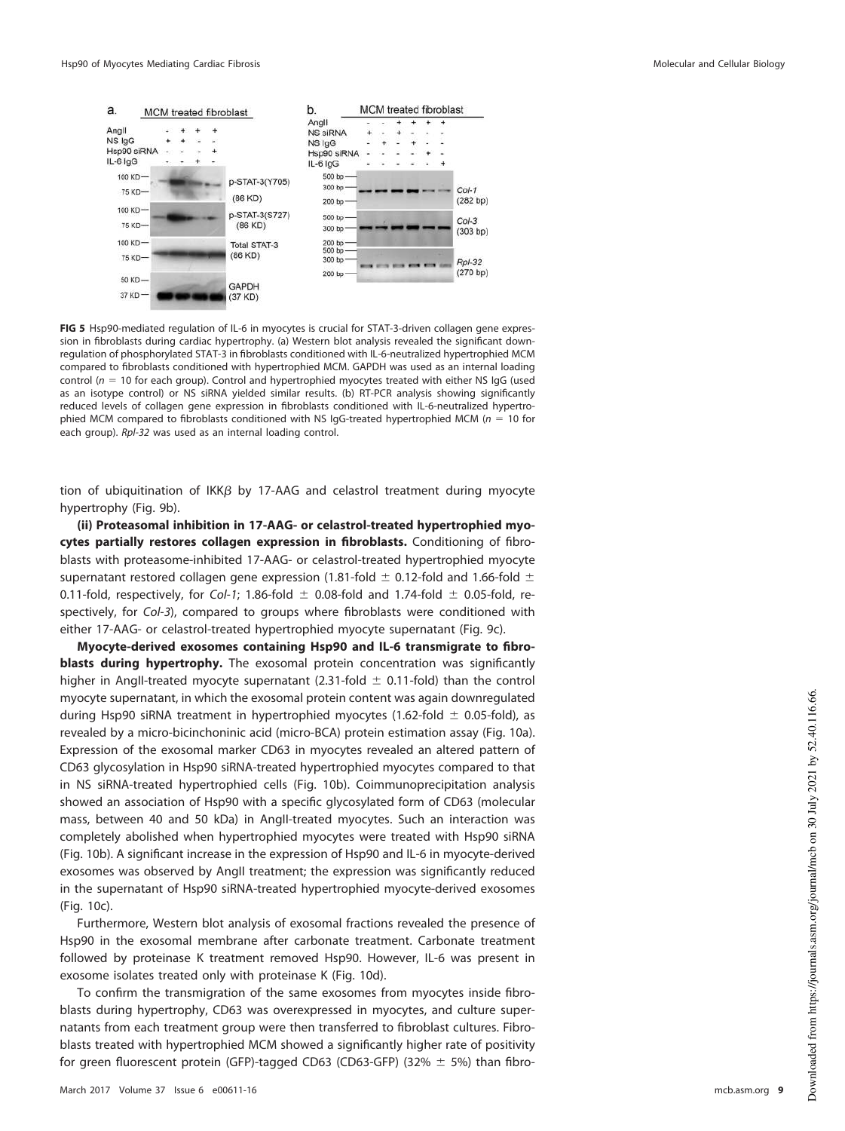

<span id="page-8-0"></span>**FIG 5** Hsp90-mediated regulation of IL-6 in myocytes is crucial for STAT-3-driven collagen gene expression in fibroblasts during cardiac hypertrophy. (a) Western blot analysis revealed the significant downregulation of phosphorylated STAT-3 in fibroblasts conditioned with IL-6-neutralized hypertrophied MCM compared to fibroblasts conditioned with hypertrophied MCM. GAPDH was used as an internal loading control ( $n = 10$  for each group). Control and hypertrophied myocytes treated with either NS IgG (used as an isotype control) or NS siRNA yielded similar results. (b) RT-PCR analysis showing significantly reduced levels of collagen gene expression in fibroblasts conditioned with IL-6-neutralized hypertrophied MCM compared to fibroblasts conditioned with NS IgG-treated hypertrophied MCM ( $n = 10$  for each group). Rpl-32 was used as an internal loading control.

tion of ubiquitination of IKK $\beta$  by 17-AAG and celastrol treatment during myocyte hypertrophy [\(Fig. 9b\)](#page-12-0).

**(ii) Proteasomal inhibition in 17-AAG- or celastrol-treated hypertrophied myocytes partially restores collagen expression in fibroblasts.** Conditioning of fibroblasts with proteasome-inhibited 17-AAG- or celastrol-treated hypertrophied myocyte supernatant restored collagen gene expression (1.81-fold  $\pm$  0.12-fold and 1.66-fold  $\pm$ 0.11-fold, respectively, for Col-1; 1.86-fold  $\pm$  0.08-fold and 1.74-fold  $\pm$  0.05-fold, respectively, for Col-3), compared to groups where fibroblasts were conditioned with either 17-AAG- or celastrol-treated hypertrophied myocyte supernatant [\(Fig. 9c\)](#page-12-0).

**Myocyte-derived exosomes containing Hsp90 and IL-6 transmigrate to fibroblasts during hypertrophy.** The exosomal protein concentration was significantly higher in Angll-treated myocyte supernatant (2.31-fold  $\pm$  0.11-fold) than the control myocyte supernatant, in which the exosomal protein content was again downregulated during Hsp90 siRNA treatment in hypertrophied myocytes (1.62-fold  $\pm$  0.05-fold), as revealed by a micro-bicinchoninic acid (micro-BCA) protein estimation assay [\(Fig. 10a\)](#page-13-0). Expression of the exosomal marker CD63 in myocytes revealed an altered pattern of CD63 glycosylation in Hsp90 siRNA-treated hypertrophied myocytes compared to that in NS siRNA-treated hypertrophied cells [\(Fig. 10b\)](#page-13-0). Coimmunoprecipitation analysis showed an association of Hsp90 with a specific glycosylated form of CD63 (molecular mass, between 40 and 50 kDa) in AngII-treated myocytes. Such an interaction was completely abolished when hypertrophied myocytes were treated with Hsp90 siRNA [\(Fig. 10b\)](#page-13-0). A significant increase in the expression of Hsp90 and IL-6 in myocyte-derived exosomes was observed by AngII treatment; the expression was significantly reduced in the supernatant of Hsp90 siRNA-treated hypertrophied myocyte-derived exosomes [\(Fig. 10c\)](#page-13-0).

Furthermore, Western blot analysis of exosomal fractions revealed the presence of Hsp90 in the exosomal membrane after carbonate treatment. Carbonate treatment followed by proteinase K treatment removed Hsp90. However, IL-6 was present in exosome isolates treated only with proteinase K [\(Fig. 10d\)](#page-13-0).

To confirm the transmigration of the same exosomes from myocytes inside fibroblasts during hypertrophy, CD63 was overexpressed in myocytes, and culture supernatants from each treatment group were then transferred to fibroblast cultures. Fibroblasts treated with hypertrophied MCM showed a significantly higher rate of positivity for green fluorescent protein (GFP)-tagged CD63 (CD63-GFP) (32%  $\pm$  5%) than fibro-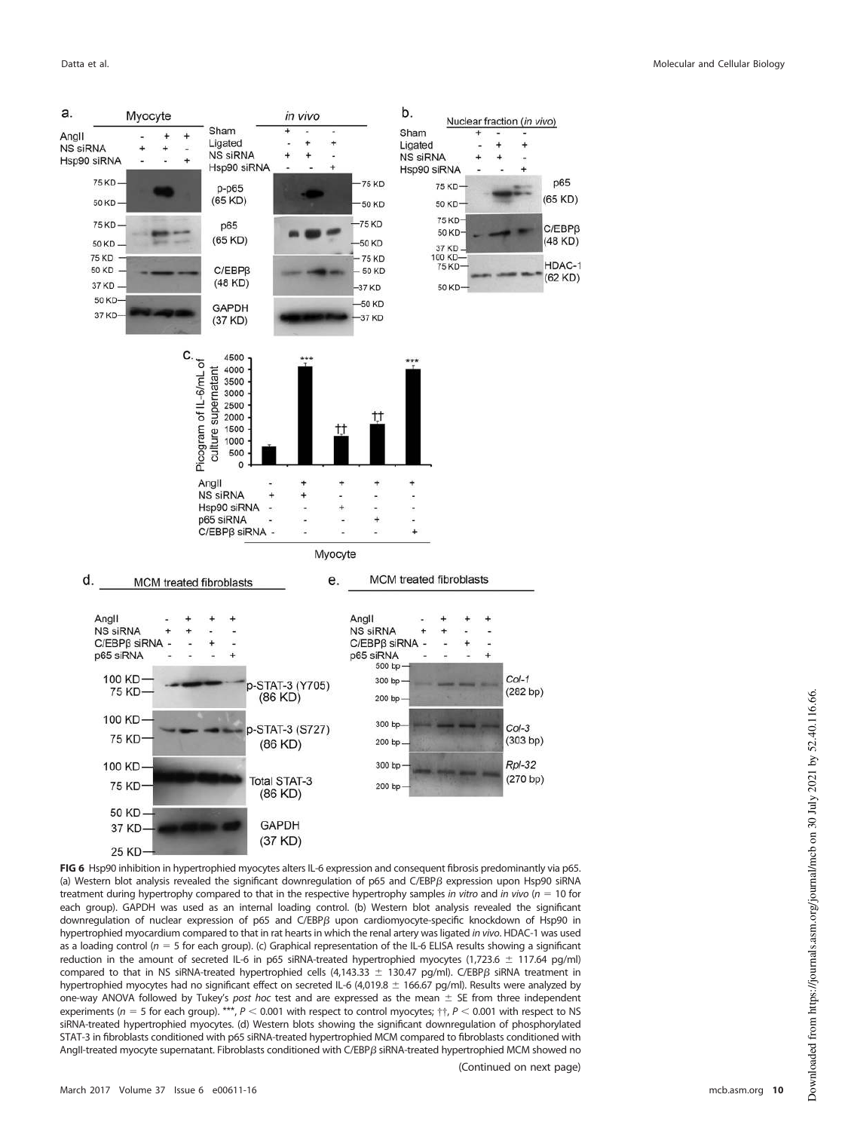

<span id="page-9-0"></span>**FIG 6** Hsp90 inhibition in hypertrophied myocytes alters IL-6 expression and consequent fibrosis predominantly via p65. (a) Western blot analysis revealed the significant downregulation of p65 and  $C/EBP\beta$  expression upon Hsp90 siRNA treatment during hypertrophy compared to that in the respective hypertrophy samples in vitro and in vivo ( $n = 10$  for each group). GAPDH was used as an internal loading control. (b) Western blot analysis revealed the significant downregulation of nuclear expression of p65 and C/EBP $\beta$  upon cardiomyocyte-specific knockdown of Hsp90 in hypertrophied myocardium compared to that in rat hearts in which the renal artery was ligated in vivo. HDAC-1 was used as a loading control ( $n = 5$  for each group). (c) Graphical representation of the IL-6 ELISA results showing a significant reduction in the amount of secreted IL-6 in p65 siRNA-treated hypertrophied myocytes (1,723.6  $\pm$  117.64 pg/ml) compared to that in NS siRNA-treated hypertrophied cells (4,143.33  $\pm$  130.47 pg/ml). C/EBP $\beta$  siRNA treatment in hypertrophied myocytes had no significant effect on secreted IL-6 (4,019.8  $\pm$  166.67 pg/ml). Results were analyzed by one-way ANOVA followed by Tukey's post hoc test and are expressed as the mean  $\pm$  SE from three independent experiments (n = 5 for each group). \*\*\*,  $P < 0.001$  with respect to control myocytes;  $\dagger \dagger$ ,  $P < 0.001$  with respect to NS siRNA-treated hypertrophied myocytes. (d) Western blots showing the significant downregulation of phosphorylated STAT-3 in fibroblasts conditioned with p65 siRNA-treated hypertrophied MCM compared to fibroblasts conditioned with AngII-treated myocyte supernatant. Fibroblasts conditioned with C/EBP $\beta$  siRNA-treated hypertrophied MCM showed no

(Continued on next page)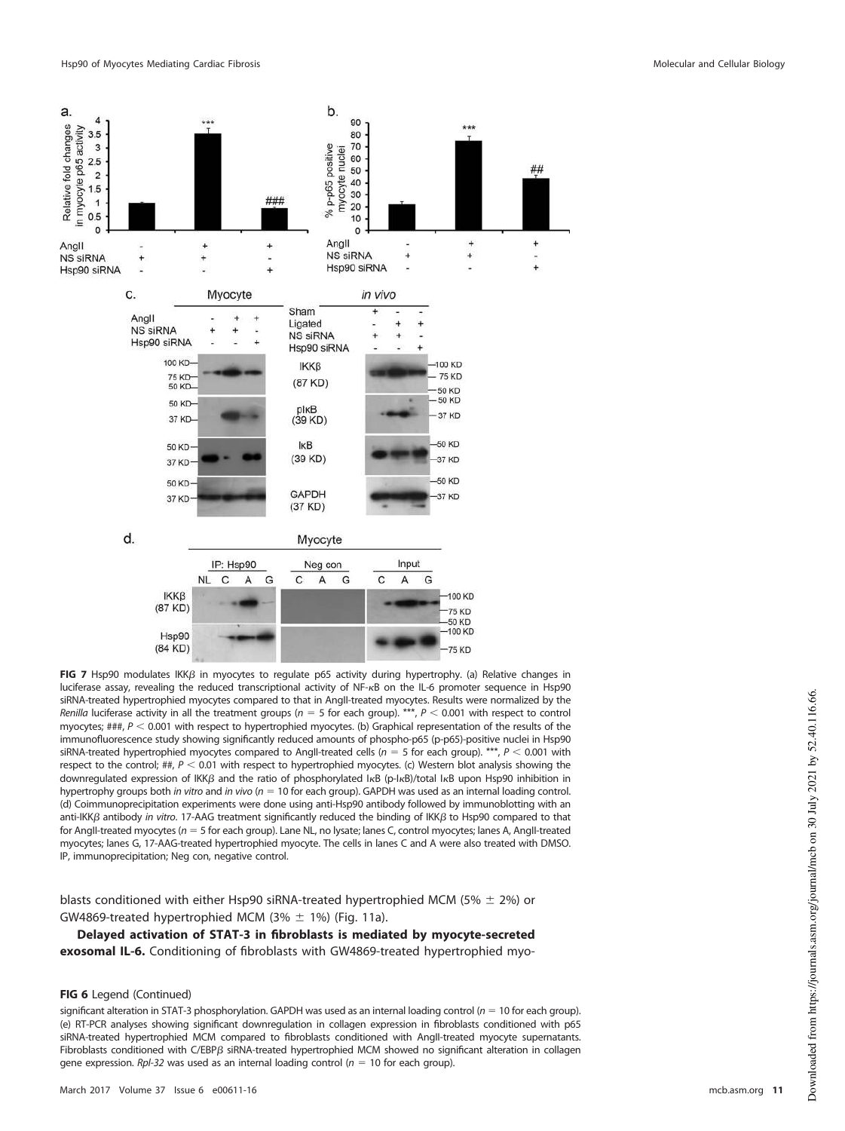

<span id="page-10-0"></span>FIG 7 Hsp90 modulates IKKB in myocytes to regulate p65 activity during hypertrophy. (a) Relative changes in luciferase assay, revealing the reduced transcriptional activity of NF-KB on the IL-6 promoter sequence in Hsp90 siRNA-treated hypertrophied myocytes compared to that in AngII-treated myocytes. Results were normalized by the Renilla luciferase activity in all the treatment groups ( $n = 5$  for each group). \*\*\*,  $P < 0.001$  with respect to control myocytes;  $\#H$ ,  $P$  < 0.001 with respect to hypertrophied myocytes. (b) Graphical representation of the results of the immunofluorescence study showing significantly reduced amounts of phospho-p65 (p-p65)-positive nuclei in Hsp90 siRNA-treated hypertrophied myocytes compared to AngII-treated cells ( $n = 5$  for each group). \*\*\*,  $P < 0.001$  with respect to the control; ##,  $P < 0.01$  with respect to hypertrophied myocytes. (c) Western blot analysis showing the downregulated expression of ΙΚΚβ and the ratio of phosphorylated IκΒ (p-IκB)/total IκΒ upon Hsp90 inhibition in hypertrophy groups both in vitro and in vivo ( $n = 10$  for each group). GAPDH was used as an internal loading control. (d) Coimmunoprecipitation experiments were done using anti-Hsp90 antibody followed by immunoblotting with an anti-IKK $\beta$  antibody in vitro. 17-AAG treatment significantly reduced the binding of IKK $\beta$  to Hsp90 compared to that for AngII-treated myocytes ( $n = 5$  for each group). Lane NL, no lysate; lanes C, control myocytes; lanes A, AngII-treated myocytes; lanes G, 17-AAG-treated hypertrophied myocyte. The cells in lanes C and A were also treated with DMSO. IP, immunoprecipitation; Neg con, negative control.

blasts conditioned with either Hsp90 siRNA-treated hypertrophied MCM (5%  $\pm$  2%) or GW4869-treated hypertrophied MCM  $(3\% \pm 1\%)$  [\(Fig. 11a\)](#page-14-0).

**Delayed activation of STAT-3 in fibroblasts is mediated by myocyte-secreted exosomal IL-6.** Conditioning of fibroblasts with GW4869-treated hypertrophied myo-

#### **FIG 6** Legend (Continued)

significant alteration in STAT-3 phosphorylation. GAPDH was used as an internal loading control ( $n = 10$  for each group). (e) RT-PCR analyses showing significant downregulation in collagen expression in fibroblasts conditioned with p65 siRNA-treated hypertrophied MCM compared to fibroblasts conditioned with AngII-treated myocyte supernatants. Fibroblasts conditioned with  $C/EBP\beta$  siRNA-treated hypertrophied MCM showed no significant alteration in collagen gene expression. Rpl-32 was used as an internal loading control ( $n = 10$  for each group).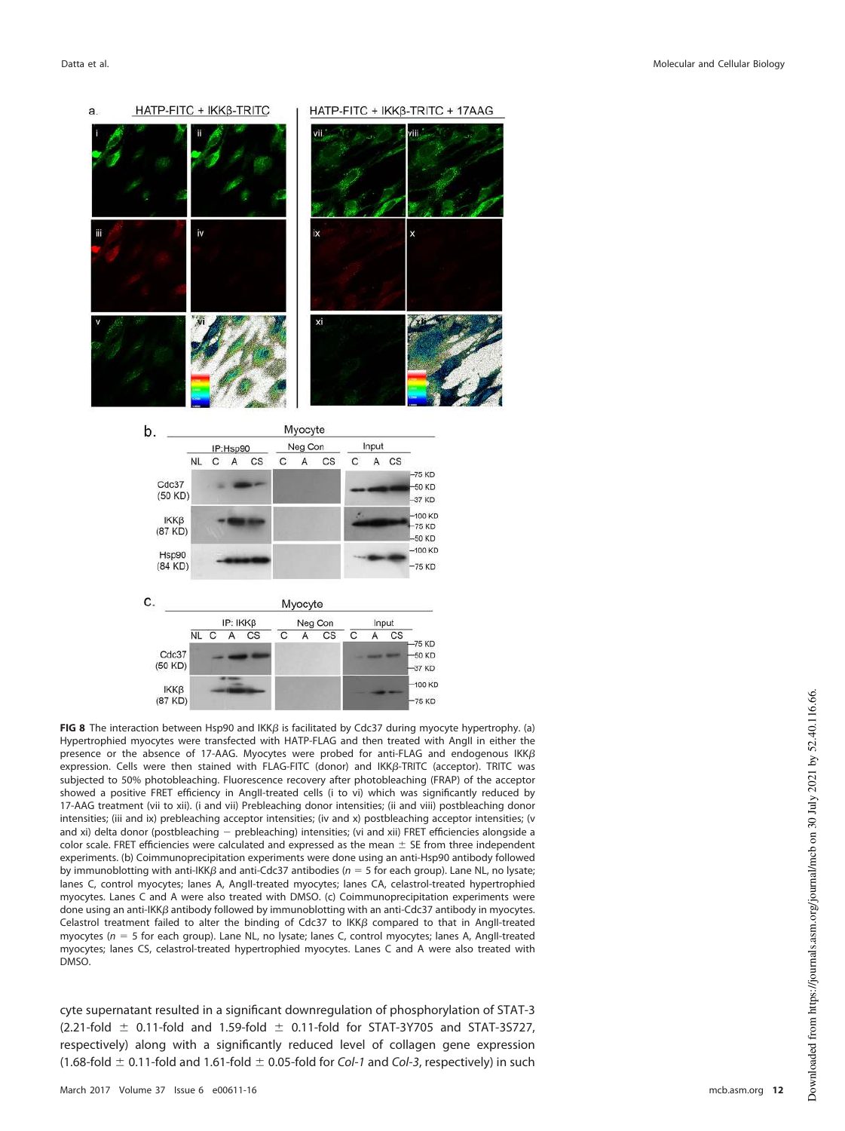

<span id="page-11-0"></span>**FIG 8** The interaction between Hsp90 and  $IKK\beta$  is facilitated by Cdc37 during myocyte hypertrophy. (a) Hypertrophied myocytes were transfected with HATP-FLAG and then treated with AngII in either the presence or the absence of 17-AAG. Myocytes were probed for anti-FLAG and endogenous IKK $\beta$ expression. Cells were then stained with FLAG-FITC (donor) and IKKβ-TRITC (acceptor). TRITC was subjected to 50% photobleaching. Fluorescence recovery after photobleaching (FRAP) of the acceptor showed a positive FRET efficiency in AngII-treated cells (i to vi) which was significantly reduced by 17-AAG treatment (vii to xii). (i and vii) Prebleaching donor intensities; (ii and viii) postbleaching donor intensities; (iii and ix) prebleaching acceptor intensities; (iv and x) postbleaching acceptor intensities; (v and xi) delta donor (postbleaching - prebleaching) intensities; (vi and xii) FRET efficiencies alongside a color scale. FRET efficiencies were calculated and expressed as the mean  $\pm$  SE from three independent experiments. (b) Coimmunoprecipitation experiments were done using an anti-Hsp90 antibody followed by immunoblotting with anti-IKK $\beta$  and anti-Cdc37 antibodies ( $n = 5$  for each group). Lane NL, no lysate; lanes C, control myocytes; lanes A, AngII-treated myocytes; lanes CA, celastrol-treated hypertrophied myocytes. Lanes C and A were also treated with DMSO. (c) Coimmunoprecipitation experiments were done using an anti-IKK $\beta$  antibody followed by immunoblotting with an anti-Cdc37 antibody in myocytes. Celastrol treatment failed to alter the binding of Cdc37 to IKK $\beta$  compared to that in AngII-treated myocytes ( $n = 5$  for each group). Lane NL, no lysate; lanes C, control myocytes; lanes A, AngII-treated myocytes; lanes CS, celastrol-treated hypertrophied myocytes. Lanes C and A were also treated with DMSO.

cyte supernatant resulted in a significant downregulation of phosphorylation of STAT-3  $(2.21-fold \pm 0.11-fold$  and  $1.59-fold \pm 0.11-fold$  for STAT-3Y705 and STAT-3S727, respectively) along with a significantly reduced level of collagen gene expression (1.68-fold  $\pm$  0.11-fold and 1.61-fold  $\pm$  0.05-fold for Col-1 and Col-3, respectively) in such

 $(87 KD)$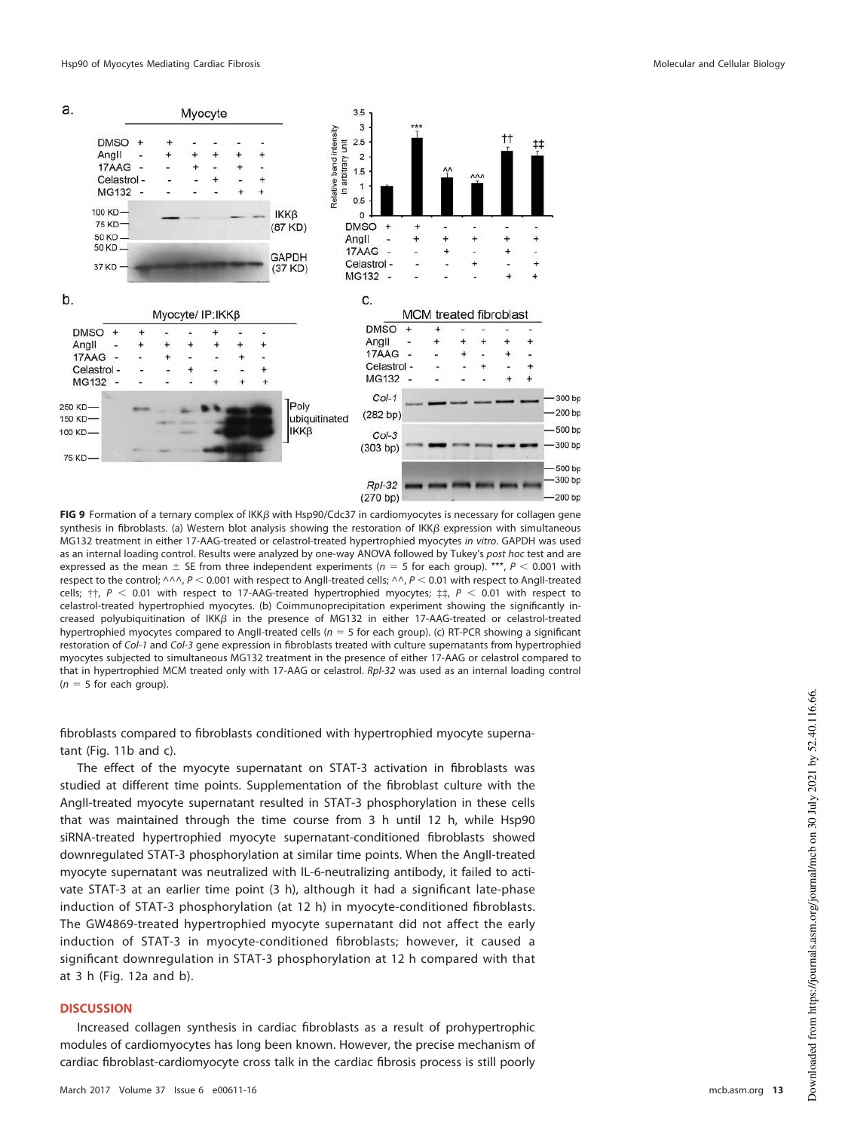

<span id="page-12-0"></span>**FIG 9** Formation of a ternary complex of IKKβ with Hsp90/Cdc37 in cardiomyocytes is necessary for collagen gene synthesis in fibroblasts. (a) Western blot analysis showing the restoration of IKK $\beta$  expression with simultaneous MG132 treatment in either 17-AAG-treated or celastrol-treated hypertrophied myocytes in vitro. GAPDH was used as an internal loading control. Results were analyzed by one-way ANOVA followed by Tukey's post hoc test and are expressed as the mean  $\pm$  SE from three independent experiments ( $n = 5$  for each group). \*\*\*,  $P < 0.001$  with respect to the control;  $\wedge \wedge \wedge$ , P < 0.001 with respect to AngII-treated cells;  $\wedge \wedge$ , P < 0.01 with respect to AngII-treated cells;  $\dagger\dagger$ ,  $P < 0.01$  with respect to 17-AAG-treated hypertrophied myocytes;  $\ddagger\dagger$ ,  $P < 0.01$  with respect to celastrol-treated hypertrophied myocytes. (b) Coimmunoprecipitation experiment showing the significantly increased polyubiquitination of IKK $\beta$  in the presence of MG132 in either 17-AAG-treated or celastrol-treated hypertrophied myocytes compared to AngII-treated cells ( $n = 5$  for each group). (c) RT-PCR showing a significant restoration of Col-1 and Col-3 gene expression in fibroblasts treated with culture supernatants from hypertrophied myocytes subjected to simultaneous MG132 treatment in the presence of either 17-AAG or celastrol compared to that in hypertrophied MCM treated only with 17-AAG or celastrol. Rpl-32 was used as an internal loading control  $(n = 5$  for each group).

fibroblasts compared to fibroblasts conditioned with hypertrophied myocyte supernatant [\(Fig. 11b](#page-14-0) and [c\)](#page-14-0).

The effect of the myocyte supernatant on STAT-3 activation in fibroblasts was studied at different time points. Supplementation of the fibroblast culture with the AngII-treated myocyte supernatant resulted in STAT-3 phosphorylation in these cells that was maintained through the time course from 3 h until 12 h, while Hsp90 siRNA-treated hypertrophied myocyte supernatant-conditioned fibroblasts showed downregulated STAT-3 phosphorylation at similar time points. When the AngII-treated myocyte supernatant was neutralized with IL-6-neutralizing antibody, it failed to activate STAT-3 at an earlier time point (3 h), although it had a significant late-phase induction of STAT-3 phosphorylation (at 12 h) in myocyte-conditioned fibroblasts. The GW4869-treated hypertrophied myocyte supernatant did not affect the early induction of STAT-3 in myocyte-conditioned fibroblasts; however, it caused a significant downregulation in STAT-3 phosphorylation at 12 h compared with that at 3 h [\(Fig. 12a](#page-15-0) and [b\)](#page-15-0).

## **DISCUSSION**

Increased collagen synthesis in cardiac fibroblasts as a result of prohypertrophic modules of cardiomyocytes has long been known. However, the precise mechanism of cardiac fibroblast-cardiomyocyte cross talk in the cardiac fibrosis process is still poorly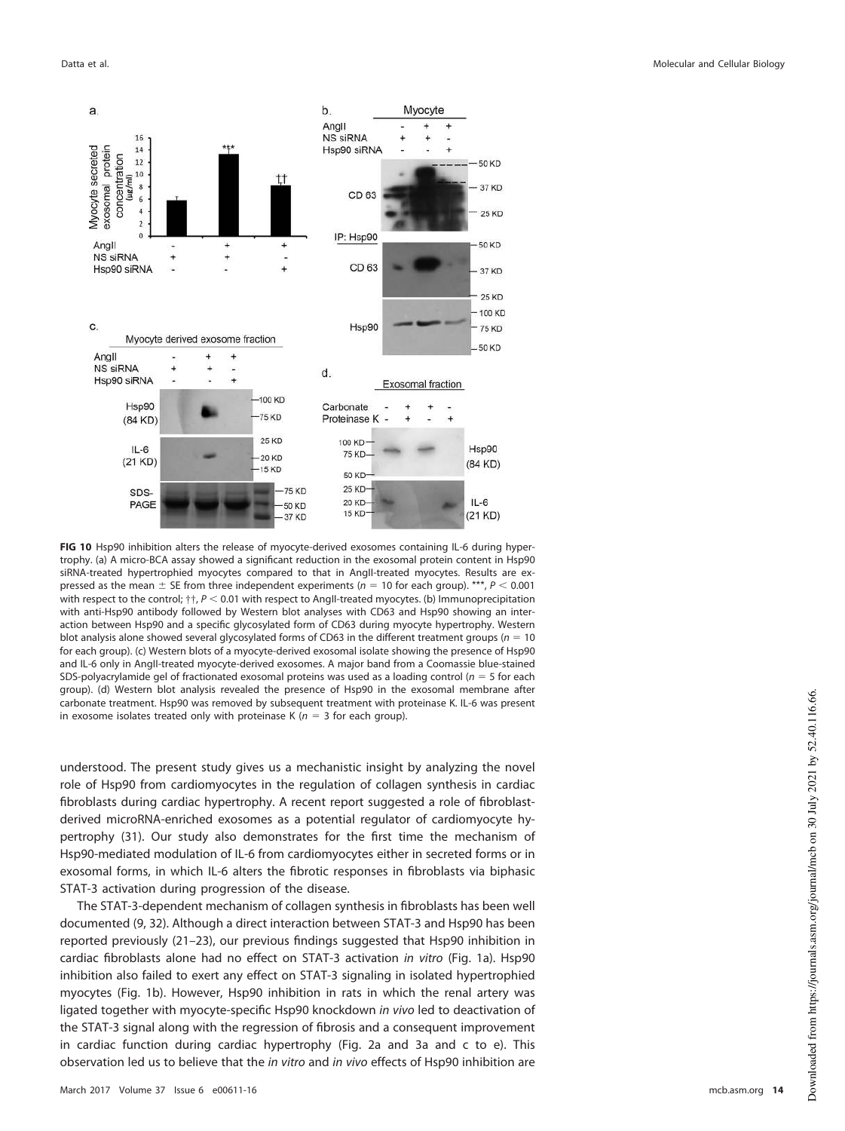

<span id="page-13-0"></span>**FIG 10** Hsp90 inhibition alters the release of myocyte-derived exosomes containing IL-6 during hypertrophy. (a) A micro-BCA assay showed a significant reduction in the exosomal protein content in Hsp90 siRNA-treated hypertrophied myocytes compared to that in AngII-treated myocytes. Results are expressed as the mean  $\pm$  SE from three independent experiments ( $n = 10$  for each group). \*\*\*,  $P < 0.001$ with respect to the control;  $\uparrow\uparrow$ ,  $P < 0.01$  with respect to AngII-treated myocytes. (b) Immunoprecipitation with anti-Hsp90 antibody followed by Western blot analyses with CD63 and Hsp90 showing an interaction between Hsp90 and a specific glycosylated form of CD63 during myocyte hypertrophy. Western blot analysis alone showed several glycosylated forms of CD63 in the different treatment groups ( $n = 10$ ) for each group). (c) Western blots of a myocyte-derived exosomal isolate showing the presence of Hsp90 and IL-6 only in AngII-treated myocyte-derived exosomes. A major band from a Coomassie blue-stained SDS-polyacrylamide gel of fractionated exosomal proteins was used as a loading control ( $n = 5$  for each group). (d) Western blot analysis revealed the presence of Hsp90 in the exosomal membrane after carbonate treatment. Hsp90 was removed by subsequent treatment with proteinase K. IL-6 was present in exosome isolates treated only with proteinase K ( $n = 3$  for each group).

understood. The present study gives us a mechanistic insight by analyzing the novel role of Hsp90 from cardiomyocytes in the regulation of collagen synthesis in cardiac fibroblasts during cardiac hypertrophy. A recent report suggested a role of fibroblastderived microRNA-enriched exosomes as a potential regulator of cardiomyocyte hypertrophy [\(31\)](#page-23-12). Our study also demonstrates for the first time the mechanism of Hsp90-mediated modulation of IL-6 from cardiomyocytes either in secreted forms or in exosomal forms, in which IL-6 alters the fibrotic responses in fibroblasts via biphasic STAT-3 activation during progression of the disease.

The STAT-3-dependent mechanism of collagen synthesis in fibroblasts has been well documented [\(9,](#page-22-8) [32\)](#page-23-13). Although a direct interaction between STAT-3 and Hsp90 has been reported previously [\(21](#page-23-3)[–](#page-23-4)[23\)](#page-23-5), our previous findings suggested that Hsp90 inhibition in cardiac fibroblasts alone had no effect on STAT-3 activation in vitro [\(Fig. 1a\)](#page-2-0). Hsp90 inhibition also failed to exert any effect on STAT-3 signaling in isolated hypertrophied myocytes [\(Fig. 1b\)](#page-2-0). However, Hsp90 inhibition in rats in which the renal artery was ligated together with myocyte-specific Hsp90 knockdown in vivo led to deactivation of the STAT-3 signal along with the regression of fibrosis and a consequent improvement in cardiac function during cardiac hypertrophy [\(Fig. 2a](#page-3-0) and [3a](#page-5-0) and [c](#page-5-0) to [e\)](#page-5-0). This observation led us to believe that the in vitro and in vivo effects of Hsp90 inhibition are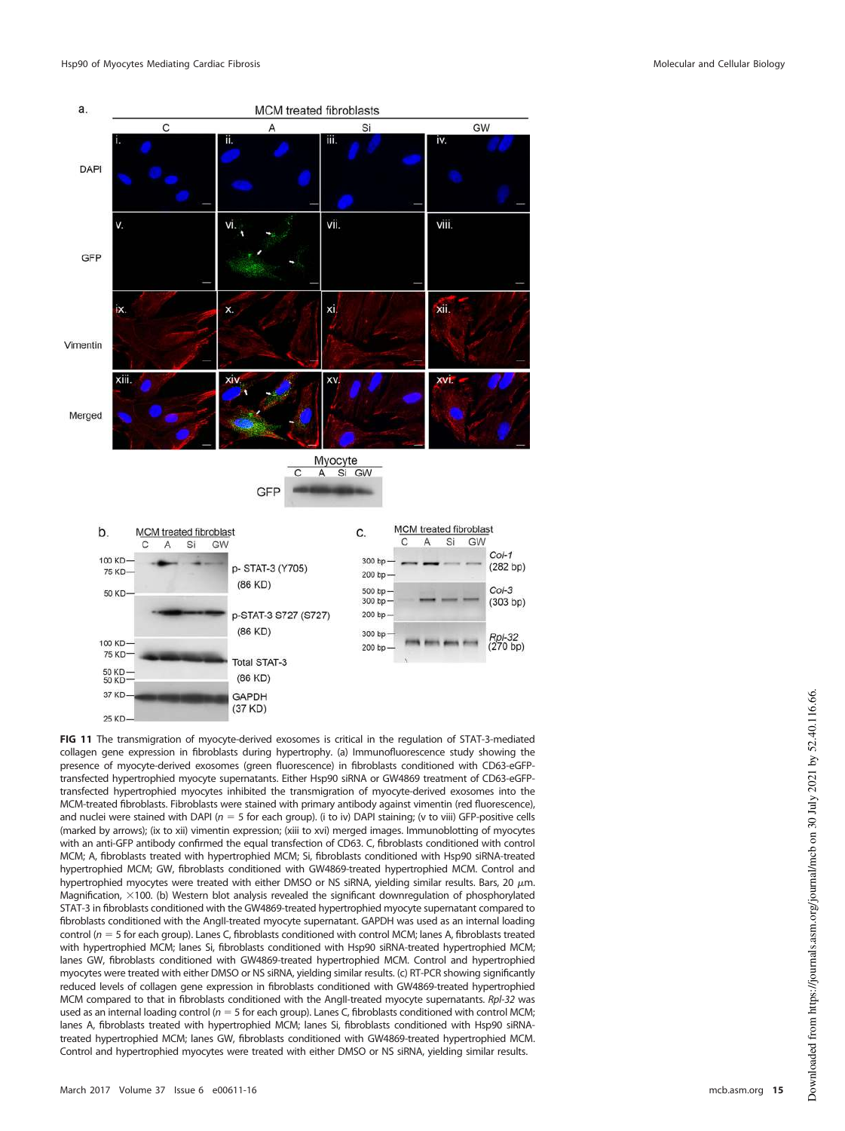

<span id="page-14-0"></span>**FIG 11** The transmigration of myocyte-derived exosomes is critical in the regulation of STAT-3-mediated collagen gene expression in fibroblasts during hypertrophy. (a) Immunofluorescence study showing the presence of myocyte-derived exosomes (green fluorescence) in fibroblasts conditioned with CD63-eGFPtransfected hypertrophied myocyte supernatants. Either Hsp90 siRNA or GW4869 treatment of CD63-eGFPtransfected hypertrophied myocytes inhibited the transmigration of myocyte-derived exosomes into the MCM-treated fibroblasts. Fibroblasts were stained with primary antibody against vimentin (red fluorescence), and nuclei were stained with DAPI ( $n = 5$  for each group). (i to iv) DAPI staining; (v to viii) GFP-positive cells (marked by arrows); (ix to xii) vimentin expression; (xiii to xvi) merged images. Immunoblotting of myocytes with an anti-GFP antibody confirmed the equal transfection of CD63. C, fibroblasts conditioned with control MCM; A, fibroblasts treated with hypertrophied MCM; Si, fibroblasts conditioned with Hsp90 siRNA-treated hypertrophied MCM; GW, fibroblasts conditioned with GW4869-treated hypertrophied MCM. Control and hypertrophied myocytes were treated with either DMSO or NS siRNA, yielding similar results. Bars, 20  $\mu$ m. Magnification,  $\times$ 100. (b) Western blot analysis revealed the significant downregulation of phosphorylated STAT-3 in fibroblasts conditioned with the GW4869-treated hypertrophied myocyte supernatant compared to fibroblasts conditioned with the AngII-treated myocyte supernatant. GAPDH was used as an internal loading control ( $n = 5$  for each group). Lanes C, fibroblasts conditioned with control MCM; lanes A, fibroblasts treated with hypertrophied MCM; lanes Si, fibroblasts conditioned with Hsp90 siRNA-treated hypertrophied MCM; lanes GW, fibroblasts conditioned with GW4869-treated hypertrophied MCM. Control and hypertrophied myocytes were treated with either DMSO or NS siRNA, yielding similar results. (c) RT-PCR showing significantly reduced levels of collagen gene expression in fibroblasts conditioned with GW4869-treated hypertrophied MCM compared to that in fibroblasts conditioned with the AngII-treated myocyte supernatants. RpI-32 was used as an internal loading control ( $n = 5$  for each group). Lanes C, fibroblasts conditioned with control MCM; lanes A, fibroblasts treated with hypertrophied MCM; lanes Si, fibroblasts conditioned with Hsp90 siRNAtreated hypertrophied MCM; lanes GW, fibroblasts conditioned with GW4869-treated hypertrophied MCM. Control and hypertrophied myocytes were treated with either DMSO or NS siRNA, yielding similar results.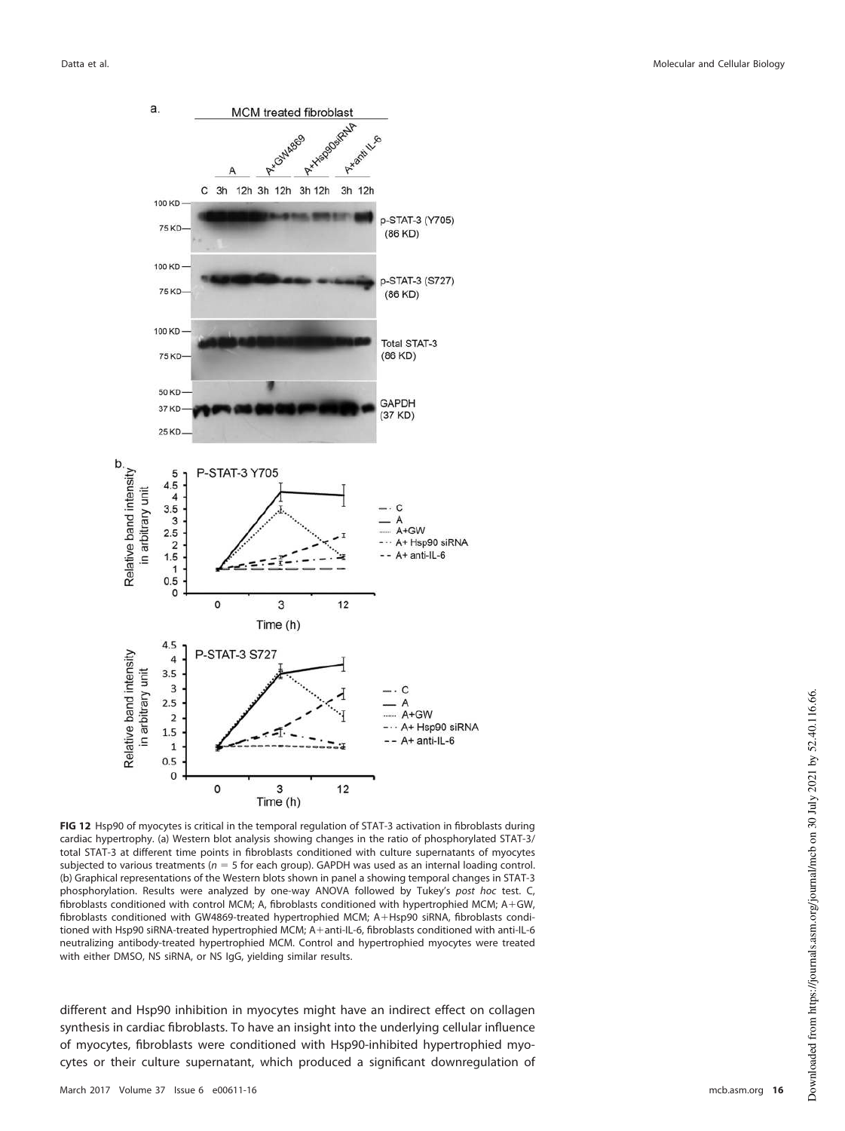

<span id="page-15-0"></span>**FIG 12** Hsp90 of myocytes is critical in the temporal regulation of STAT-3 activation in fibroblasts during cardiac hypertrophy. (a) Western blot analysis showing changes in the ratio of phosphorylated STAT-3/ total STAT-3 at different time points in fibroblasts conditioned with culture supernatants of myocytes subjected to various treatments ( $n = 5$  for each group). GAPDH was used as an internal loading control. (b) Graphical representations of the Western blots shown in panel a showing temporal changes in STAT-3 phosphorylation. Results were analyzed by one-way ANOVA followed by Tukey's post hoc test. C, fibroblasts conditioned with control MCM; A, fibroblasts conditioned with hypertrophied MCM; A+GW, fibroblasts conditioned with GW4869-treated hypertrophied MCM; A+Hsp90 siRNA, fibroblasts conditioned with Hsp90 siRNA-treated hypertrophied MCM; A+anti-IL-6, fibroblasts conditioned with anti-IL-6 neutralizing antibody-treated hypertrophied MCM. Control and hypertrophied myocytes were treated with either DMSO, NS siRNA, or NS IgG, yielding similar results.

different and Hsp90 inhibition in myocytes might have an indirect effect on collagen synthesis in cardiac fibroblasts. To have an insight into the underlying cellular influence of myocytes, fibroblasts were conditioned with Hsp90-inhibited hypertrophied myocytes or their culture supernatant, which produced a significant downregulation of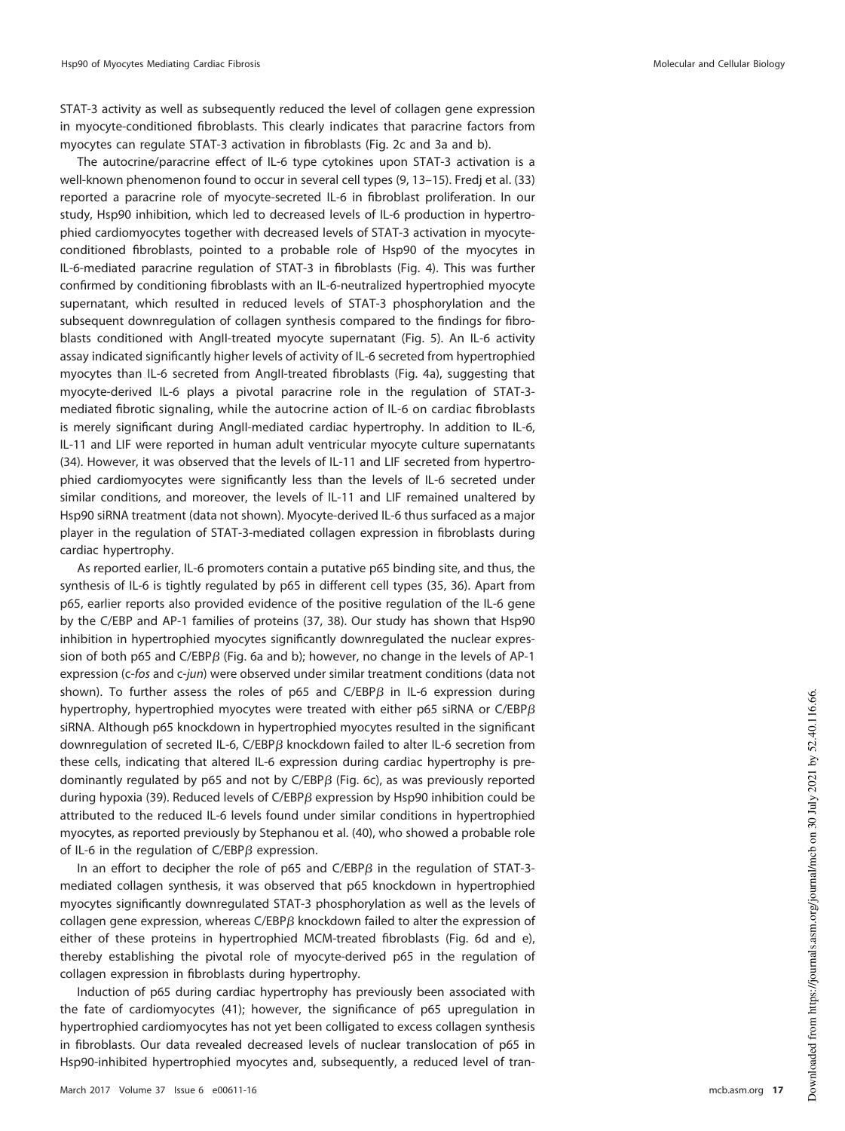STAT-3 activity as well as subsequently reduced the level of collagen gene expression in myocyte-conditioned fibroblasts. This clearly indicates that paracrine factors from myocytes can regulate STAT-3 activation in fibroblasts [\(Fig. 2c](#page-3-0) and [3a](#page-5-0) and [b\)](#page-5-0).

The autocrine/paracrine effect of IL-6 type cytokines upon STAT-3 activation is a well-known phenomenon found to occur in several cell types [\(9,](#page-22-8) [13](#page-22-12)[–](#page-22-13)[15\)](#page-22-14). Fredj et al. [\(33\)](#page-23-14) reported a paracrine role of myocyte-secreted IL-6 in fibroblast proliferation. In our study, Hsp90 inhibition, which led to decreased levels of IL-6 production in hypertrophied cardiomyocytes together with decreased levels of STAT-3 activation in myocyteconditioned fibroblasts, pointed to a probable role of Hsp90 of the myocytes in IL-6-mediated paracrine regulation of STAT-3 in fibroblasts [\(Fig. 4\)](#page-7-0). This was further confirmed by conditioning fibroblasts with an IL-6-neutralized hypertrophied myocyte supernatant, which resulted in reduced levels of STAT-3 phosphorylation and the subsequent downregulation of collagen synthesis compared to the findings for fibroblasts conditioned with AngII-treated myocyte supernatant [\(Fig. 5\)](#page-8-0). An IL-6 activity assay indicated significantly higher levels of activity of IL-6 secreted from hypertrophied myocytes than IL-6 secreted from AngII-treated fibroblasts [\(Fig. 4a\)](#page-7-0), suggesting that myocyte-derived IL-6 plays a pivotal paracrine role in the regulation of STAT-3 mediated fibrotic signaling, while the autocrine action of IL-6 on cardiac fibroblasts is merely significant during AngII-mediated cardiac hypertrophy. In addition to IL-6, IL-11 and LIF were reported in human adult ventricular myocyte culture supernatants [\(34\)](#page-23-15). However, it was observed that the levels of IL-11 and LIF secreted from hypertrophied cardiomyocytes were significantly less than the levels of IL-6 secreted under similar conditions, and moreover, the levels of IL-11 and LIF remained unaltered by Hsp90 siRNA treatment (data not shown). Myocyte-derived IL-6 thus surfaced as a major player in the regulation of STAT-3-mediated collagen expression in fibroblasts during cardiac hypertrophy.

As reported earlier, IL-6 promoters contain a putative p65 binding site, and thus, the synthesis of IL-6 is tightly regulated by p65 in different cell types [\(35,](#page-23-16) [36\)](#page-23-17). Apart from p65, earlier reports also provided evidence of the positive regulation of the IL-6 gene by the C/EBP and AP-1 families of proteins [\(37,](#page-23-18) [38\)](#page-23-19). Our study has shown that Hsp90 inhibition in hypertrophied myocytes significantly downregulated the nuclear expression of both p65 and  $C/EBP\beta$  [\(Fig. 6a](#page-9-0) and [b\)](#page-9-0); however, no change in the levels of AP-1 expression (c-fos and c-jun) were observed under similar treatment conditions (data not shown). To further assess the roles of p65 and  $C/EBP\beta$  in IL-6 expression during hypertrophy, hypertrophied myocytes were treated with either <code>p65</code> siRNA or <code>C/EBP $\beta$ </code> siRNA. Although p65 knockdown in hypertrophied myocytes resulted in the significant downregulation of secreted IL-6,  $C/EBP\beta$  knockdown failed to alter IL-6 secretion from these cells, indicating that altered IL-6 expression during cardiac hypertrophy is predominantly regulated by  $p65$  and not by C/EBP $\beta$  [\(Fig. 6c\)](#page-9-0), as was previously reported during hypoxia [\(39\)](#page-23-20). Reduced levels of C/EBP $\beta$  expression by Hsp90 inhibition could be attributed to the reduced IL-6 levels found under similar conditions in hypertrophied myocytes, as reported previously by Stephanou et al. [\(40\)](#page-23-21), who showed a probable role of IL-6 in the regulation of  $C/EBP\beta$  expression.

In an effort to decipher the role of p65 and C/EBP $\beta$  in the regulation of STAT-3mediated collagen synthesis, it was observed that p65 knockdown in hypertrophied myocytes significantly downregulated STAT-3 phosphorylation as well as the levels of collagen gene expression, whereas  $C/EBP\beta$  knockdown failed to alter the expression of either of these proteins in hypertrophied MCM-treated fibroblasts [\(Fig. 6d](#page-9-0) and [e\)](#page-9-0), thereby establishing the pivotal role of myocyte-derived p65 in the regulation of collagen expression in fibroblasts during hypertrophy.

Induction of p65 during cardiac hypertrophy has previously been associated with the fate of cardiomyocytes [\(41\)](#page-23-22); however, the significance of p65 upregulation in hypertrophied cardiomyocytes has not yet been colligated to excess collagen synthesis in fibroblasts. Our data revealed decreased levels of nuclear translocation of p65 in Hsp90-inhibited hypertrophied myocytes and, subsequently, a reduced level of tran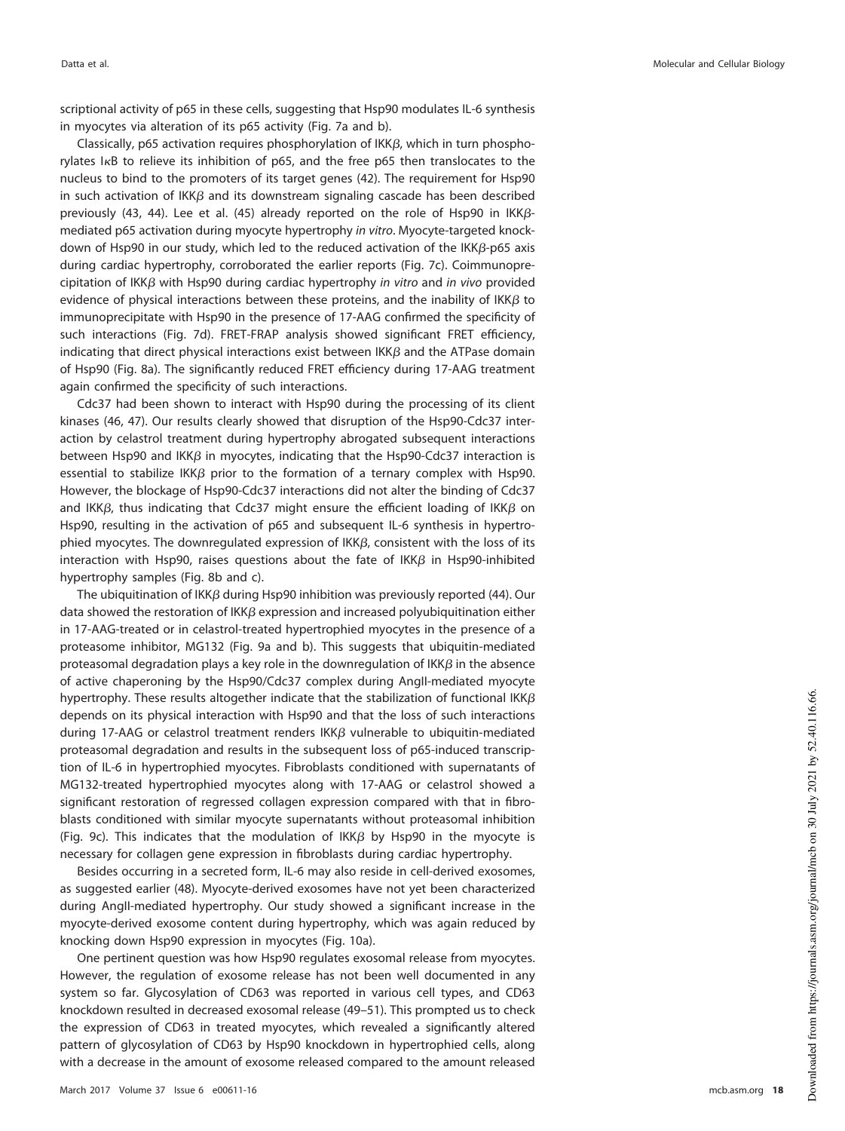scriptional activity of p65 in these cells, suggesting that Hsp90 modulates IL-6 synthesis in myocytes via alteration of its p65 activity [\(Fig. 7a](#page-10-0) and [b\)](#page-10-0).

Classically, p65 activation requires phosphorylation of  $IKK\beta$ , which in turn phosphorylates  $I \kappa B$  to relieve its inhibition of p65, and the free p65 then translocates to the nucleus to bind to the promoters of its target genes [\(42\)](#page-23-23). The requirement for Hsp90 in such activation of  $IK\beta$  and its downstream signaling cascade has been described previously [\(43,](#page-23-24) [44\)](#page-23-25). Lee et al. [\(45\)](#page-23-26) already reported on the role of Hsp90 in  $IKK\beta$ mediated p65 activation during myocyte hypertrophy in vitro. Myocyte-targeted knockdown of Hsp90 in our study, which led to the reduced activation of the IKK $\beta$ -p65 axis during cardiac hypertrophy, corroborated the earlier reports [\(Fig. 7c\)](#page-10-0). Coimmunoprecipitation of IKK $\beta$  with Hsp90 during cardiac hypertrophy in vitro and in vivo provided evidence of physical interactions between these proteins, and the inability of IKK $\beta$  to immunoprecipitate with Hsp90 in the presence of 17-AAG confirmed the specificity of such interactions [\(Fig. 7d\)](#page-10-0). FRET-FRAP analysis showed significant FRET efficiency, indicating that direct physical interactions exist between IKK $\beta$  and the ATPase domain of Hsp90 [\(Fig. 8a\)](#page-11-0). The significantly reduced FRET efficiency during 17-AAG treatment again confirmed the specificity of such interactions.

Cdc37 had been shown to interact with Hsp90 during the processing of its client kinases [\(46,](#page-23-27) [47\)](#page-23-28). Our results clearly showed that disruption of the Hsp90-Cdc37 interaction by celastrol treatment during hypertrophy abrogated subsequent interactions between Hsp90 and IKK $\beta$  in myocytes, indicating that the Hsp90-Cdc37 interaction is essential to stabilize IKK $\beta$  prior to the formation of a ternary complex with Hsp90. However, the blockage of Hsp90-Cdc37 interactions did not alter the binding of Cdc37 and IKK $\beta$ , thus indicating that Cdc37 might ensure the efficient loading of IKK $\beta$  on Hsp90, resulting in the activation of p65 and subsequent IL-6 synthesis in hypertrophied myocytes. The downregulated expression of IKK $\beta$ , consistent with the loss of its interaction with Hsp90, raises questions about the fate of IKK $\beta$  in Hsp90-inhibited hypertrophy samples [\(Fig. 8b](#page-11-0) and [c\)](#page-11-0).

The ubiquitination of IKK $\beta$  during Hsp90 inhibition was previously reported [\(44\)](#page-23-25). Our data showed the restoration of  $IK\beta$  expression and increased polyubiquitination either in 17-AAG-treated or in celastrol-treated hypertrophied myocytes in the presence of a proteasome inhibitor, MG132 [\(Fig. 9a](#page-12-0) and [b\)](#page-12-0). This suggests that ubiquitin-mediated proteasomal degradation plays a key role in the downregulation of IKK $\beta$  in the absence of active chaperoning by the Hsp90/Cdc37 complex during AngII-mediated myocyte hypertrophy. These results altogether indicate that the stabilization of functional IKK $\beta$ depends on its physical interaction with Hsp90 and that the loss of such interactions during 17-AAG or celastrol treatment renders  $IK\beta$  vulnerable to ubiquitin-mediated proteasomal degradation and results in the subsequent loss of p65-induced transcription of IL-6 in hypertrophied myocytes. Fibroblasts conditioned with supernatants of MG132-treated hypertrophied myocytes along with 17-AAG or celastrol showed a significant restoration of regressed collagen expression compared with that in fibroblasts conditioned with similar myocyte supernatants without proteasomal inhibition [\(Fig. 9c\)](#page-12-0). This indicates that the modulation of  $IKK\beta$  by Hsp90 in the myocyte is necessary for collagen gene expression in fibroblasts during cardiac hypertrophy.

Besides occurring in a secreted form, IL-6 may also reside in cell-derived exosomes, as suggested earlier [\(48\)](#page-23-29). Myocyte-derived exosomes have not yet been characterized during AngII-mediated hypertrophy. Our study showed a significant increase in the myocyte-derived exosome content during hypertrophy, which was again reduced by knocking down Hsp90 expression in myocytes [\(Fig. 10a\)](#page-13-0).

One pertinent question was how Hsp90 regulates exosomal release from myocytes. However, the regulation of exosome release has not been well documented in any system so far. Glycosylation of CD63 was reported in various cell types, and CD63 knockdown resulted in decreased exosomal release [\(49](#page-23-30)[–](#page-23-31)[51\)](#page-23-32). This prompted us to check the expression of CD63 in treated myocytes, which revealed a significantly altered pattern of glycosylation of CD63 by Hsp90 knockdown in hypertrophied cells, along with a decrease in the amount of exosome released compared to the amount released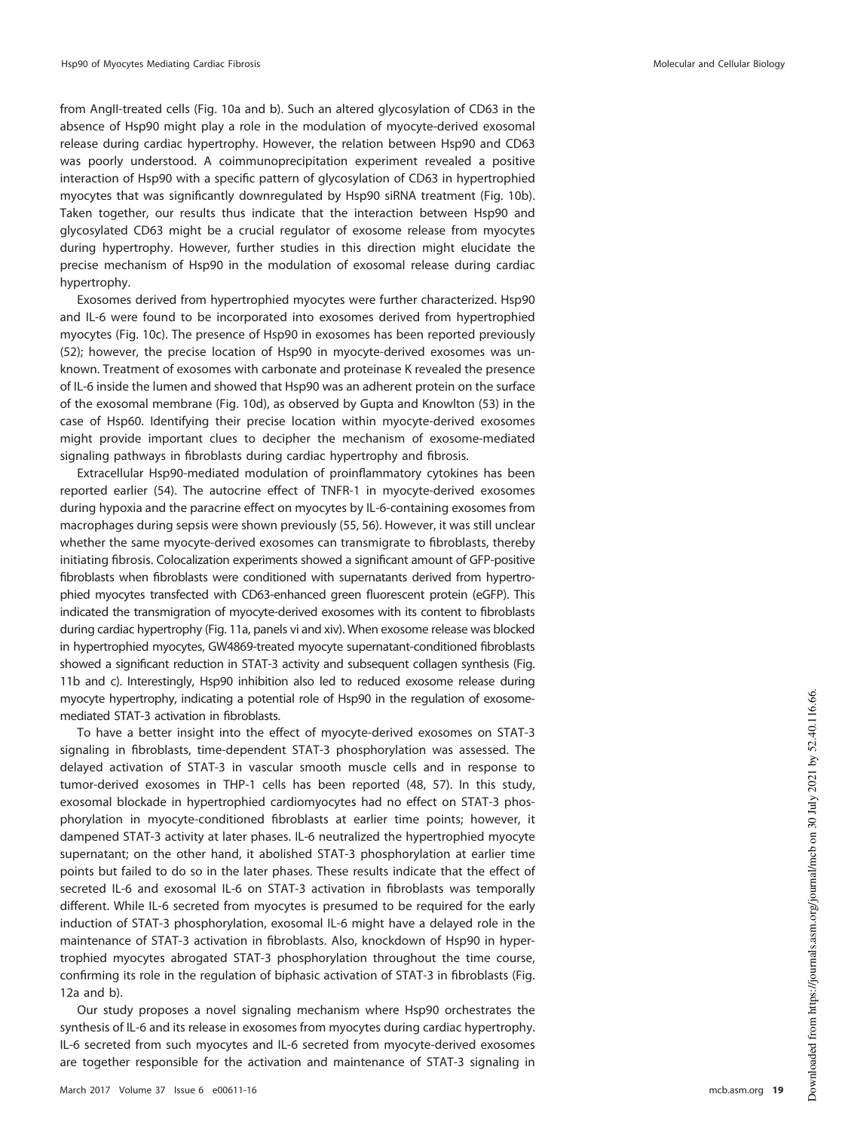from AngII-treated cells [\(Fig. 10a](#page-13-0) and [b\)](#page-13-0). Such an altered glycosylation of CD63 in the absence of Hsp90 might play a role in the modulation of myocyte-derived exosomal release during cardiac hypertrophy. However, the relation between Hsp90 and CD63 was poorly understood. A coimmunoprecipitation experiment revealed a positive interaction of Hsp90 with a specific pattern of glycosylation of CD63 in hypertrophied myocytes that was significantly downregulated by Hsp90 siRNA treatment [\(Fig. 10b\)](#page-13-0). Taken together, our results thus indicate that the interaction between Hsp90 and glycosylated CD63 might be a crucial regulator of exosome release from myocytes during hypertrophy. However, further studies in this direction might elucidate the precise mechanism of Hsp90 in the modulation of exosomal release during cardiac hypertrophy.

Exosomes derived from hypertrophied myocytes were further characterized. Hsp90 and IL-6 were found to be incorporated into exosomes derived from hypertrophied myocytes [\(Fig. 10c\)](#page-13-0). The presence of Hsp90 in exosomes has been reported previously [\(52\)](#page-23-33); however, the precise location of Hsp90 in myocyte-derived exosomes was unknown. Treatment of exosomes with carbonate and proteinase K revealed the presence of IL-6 inside the lumen and showed that Hsp90 was an adherent protein on the surface of the exosomal membrane [\(Fig. 10d\)](#page-13-0), as observed by Gupta and Knowlton [\(53\)](#page-23-34) in the case of Hsp60. Identifying their precise location within myocyte-derived exosomes might provide important clues to decipher the mechanism of exosome-mediated signaling pathways in fibroblasts during cardiac hypertrophy and fibrosis.

Extracellular Hsp90-mediated modulation of proinflammatory cytokines has been reported earlier [\(54\)](#page-23-35). The autocrine effect of TNFR-1 in myocyte-derived exosomes during hypoxia and the paracrine effect on myocytes by IL-6-containing exosomes from macrophages during sepsis were shown previously [\(55,](#page-23-36) [56\)](#page-23-37). However, it was still unclear whether the same myocyte-derived exosomes can transmigrate to fibroblasts, thereby initiating fibrosis. Colocalization experiments showed a significant amount of GFP-positive fibroblasts when fibroblasts were conditioned with supernatants derived from hypertrophied myocytes transfected with CD63-enhanced green fluorescent protein (eGFP). This indicated the transmigration of myocyte-derived exosomes with its content to fibroblasts during cardiac hypertrophy [\(Fig. 11a,](#page-14-0) panels vi and xiv). When exosome release was blocked in hypertrophied myocytes, GW4869-treated myocyte supernatant-conditioned fibroblasts showed a significant reduction in STAT-3 activity and subsequent collagen synthesis [\(Fig.](#page-14-0) 11b and [c\)](#page-14-0). Interestingly, Hsp90 inhibition also led to reduced exosome release during myocyte hypertrophy, indicating a potential role of Hsp90 in the regulation of exosomemediated STAT-3 activation in fibroblasts.

To have a better insight into the effect of myocyte-derived exosomes on STAT-3 signaling in fibroblasts, time-dependent STAT-3 phosphorylation was assessed. The delayed activation of STAT-3 in vascular smooth muscle cells and in response to tumor-derived exosomes in THP-1 cells has been reported [\(48,](#page-23-29) [57\)](#page-24-0). In this study, exosomal blockade in hypertrophied cardiomyocytes had no effect on STAT-3 phosphorylation in myocyte-conditioned fibroblasts at earlier time points; however, it dampened STAT-3 activity at later phases. IL-6 neutralized the hypertrophied myocyte supernatant; on the other hand, it abolished STAT-3 phosphorylation at earlier time points but failed to do so in the later phases. These results indicate that the effect of secreted IL-6 and exosomal IL-6 on STAT-3 activation in fibroblasts was temporally different. While IL-6 secreted from myocytes is presumed to be required for the early induction of STAT-3 phosphorylation, exosomal IL-6 might have a delayed role in the maintenance of STAT-3 activation in fibroblasts. Also, knockdown of Hsp90 in hypertrophied myocytes abrogated STAT-3 phosphorylation throughout the time course, confirming its role in the regulation of biphasic activation of STAT-3 in fibroblasts [\(Fig.](#page-15-0) [12a](#page-15-0) and [b\)](#page-15-0).

Our study proposes a novel signaling mechanism where Hsp90 orchestrates the synthesis of IL-6 and its release in exosomes from myocytes during cardiac hypertrophy. IL-6 secreted from such myocytes and IL-6 secreted from myocyte-derived exosomes are together responsible for the activation and maintenance of STAT-3 signaling in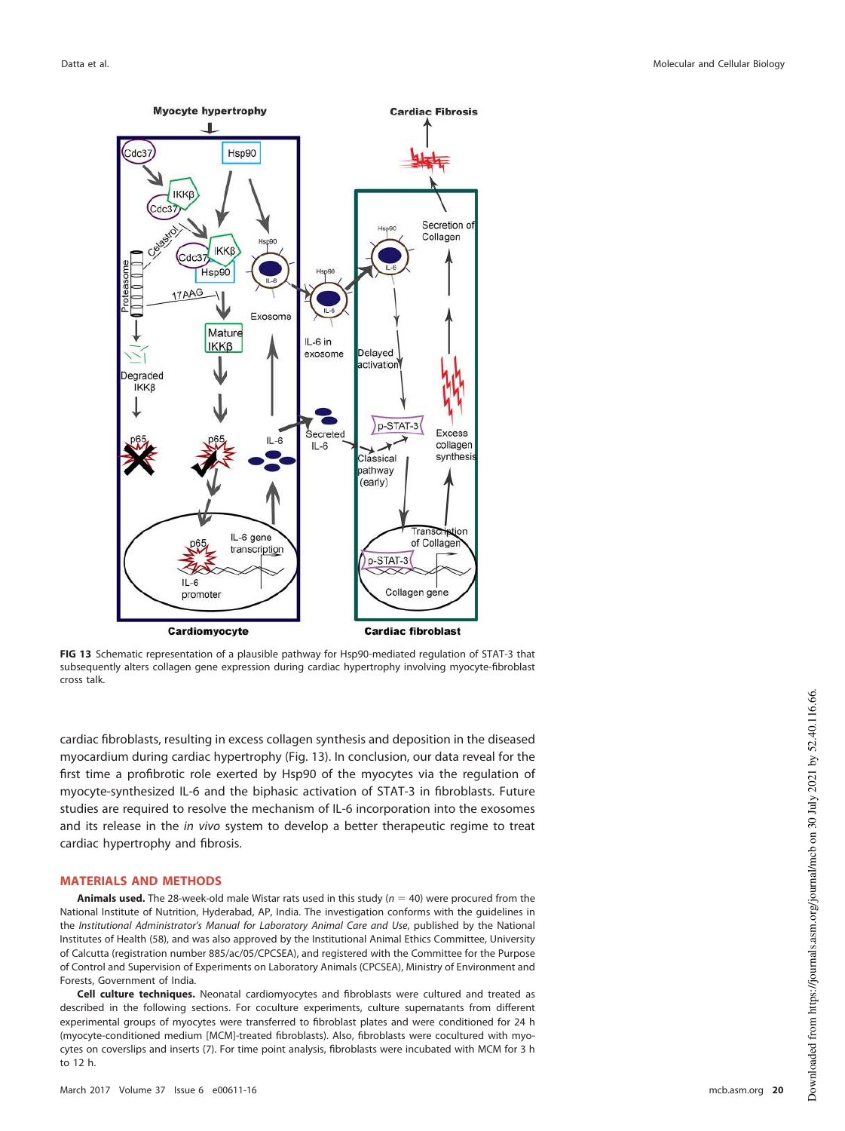

<span id="page-19-0"></span>**FIG 13** Schematic representation of a plausible pathway for Hsp90-mediated regulation of STAT-3 that subsequently alters collagen gene expression during cardiac hypertrophy involving myocyte-fibroblast cross talk.

cardiac fibroblasts, resulting in excess collagen synthesis and deposition in the diseased myocardium during cardiac hypertrophy [\(Fig. 13\)](#page-19-0). In conclusion, our data reveal for the first time a profibrotic role exerted by Hsp90 of the myocytes via the regulation of myocyte-synthesized IL-6 and the biphasic activation of STAT-3 in fibroblasts. Future studies are required to resolve the mechanism of IL-6 incorporation into the exosomes and its release in the in vivo system to develop a better therapeutic regime to treat cardiac hypertrophy and fibrosis.

#### **MATERIALS AND METHODS**

**Animals used.** The 28-week-old male Wistar rats used in this study ( $n = 40$ ) were procured from the National Institute of Nutrition, Hyderabad, AP, India. The investigation conforms with the guidelines in the Institutional Administrator's Manual for Laboratory Animal Care and Use, published by the National Institutes of Health [\(58\)](#page-24-1), and was also approved by the Institutional Animal Ethics Committee, University of Calcutta (registration number 885/ac/05/CPCSEA), and registered with the Committee for the Purpose of Control and Supervision of Experiments on Laboratory Animals (CPCSEA), Ministry of Environment and Forests, Government of India.

**Cell culture techniques.** Neonatal cardiomyocytes and fibroblasts were cultured and treated as described in the following sections. For coculture experiments, culture supernatants from different experimental groups of myocytes were transferred to fibroblast plates and were conditioned for 24 h (myocyte-conditioned medium [MCM]-treated fibroblasts). Also, fibroblasts were cocultured with myocytes on coverslips and inserts [\(7\)](#page-22-6). For time point analysis, fibroblasts were incubated with MCM for 3 h to 12 h.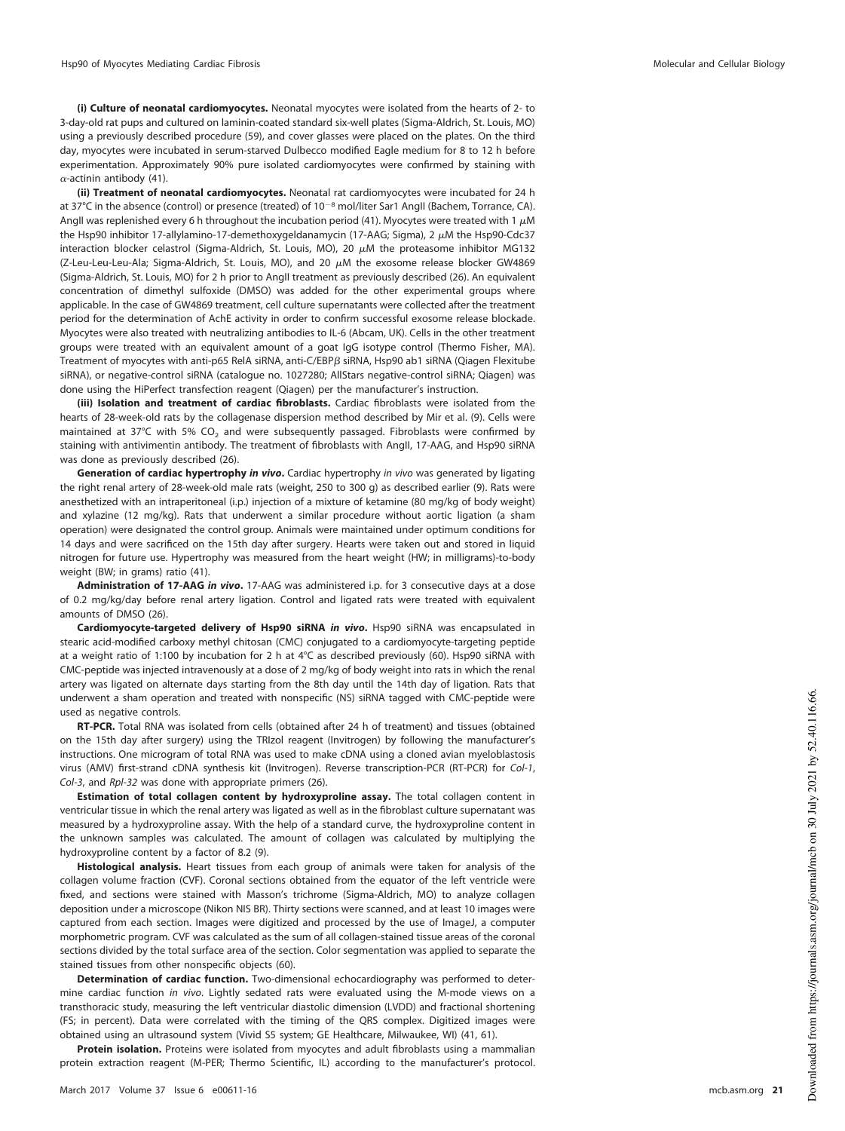**(i) Culture of neonatal cardiomyocytes.** Neonatal myocytes were isolated from the hearts of 2- to 3-day-old rat pups and cultured on laminin-coated standard six-well plates (Sigma-Aldrich, St. Louis, MO) using a previously described procedure [\(59\)](#page-24-2), and cover glasses were placed on the plates. On the third day, myocytes were incubated in serum-starved Dulbecco modified Eagle medium for 8 to 12 h before experimentation. Approximately 90% pure isolated cardiomyocytes were confirmed by staining with  $\alpha$ -actinin antibody [\(41\)](#page-23-22).

**(ii) Treatment of neonatal cardiomyocytes.** Neonatal rat cardiomyocytes were incubated for 24 h at 37°C in the absence (control) or presence (treated) of  $10^{-8}$  mol/liter Sar1 AngII (Bachem, Torrance, CA). AngII was replenished every 6 h throughout the incubation period [\(41\)](#page-23-22). Myocytes were treated with 1  $\mu$ M the Hsp90 inhibitor 17-allylamino-17-demethoxygeldanamycin (17-AAG; Sigma), 2  $\mu$ M the Hsp90-Cdc37 interaction blocker celastrol (Sigma-Aldrich, St. Louis, MO), 20  $\mu$ M the proteasome inhibitor MG132 (Z-Leu-Leu-Leu-Ala; Sigma-Aldrich, St. Louis, MO), and 20  $\mu$ M the exosome release blocker GW4869 (Sigma-Aldrich, St. Louis, MO) for 2 h prior to AngII treatment as previously described [\(26\)](#page-23-8). An equivalent concentration of dimethyl sulfoxide (DMSO) was added for the other experimental groups where applicable. In the case of GW4869 treatment, cell culture supernatants were collected after the treatment period for the determination of AchE activity in order to confirm successful exosome release blockade. Myocytes were also treated with neutralizing antibodies to IL-6 (Abcam, UK). Cells in the other treatment groups were treated with an equivalent amount of a goat IgG isotype control (Thermo Fisher, MA). Treatment of myocytes with anti-p65 RelA siRNA, anti-C/EBP $\beta$  siRNA, Hsp90 ab1 siRNA (Qiagen Flexitube siRNA), or negative-control siRNA (catalogue no. 1027280; AllStars negative-control siRNA; Qiagen) was done using the HiPerfect transfection reagent (Qiagen) per the manufacturer's instruction.

**(iii) Isolation and treatment of cardiac fibroblasts.** Cardiac fibroblasts were isolated from the hearts of 28-week-old rats by the collagenase dispersion method described by Mir et al. [\(9\)](#page-22-8). Cells were maintained at 37°C with 5% CO<sub>2</sub> and were subsequently passaged. Fibroblasts were confirmed by staining with antivimentin antibody. The treatment of fibroblasts with AngII, 17-AAG, and Hsp90 siRNA was done as previously described [\(26\)](#page-23-8).

**Generation of cardiac hypertrophy in vivo.** Cardiac hypertrophy in vivo was generated by ligating the right renal artery of 28-week-old male rats (weight, 250 to 300 g) as described earlier [\(9\)](#page-22-8). Rats were anesthetized with an intraperitoneal (i.p.) injection of a mixture of ketamine (80 mg/kg of body weight) and xylazine (12 mg/kg). Rats that underwent a similar procedure without aortic ligation (a sham operation) were designated the control group. Animals were maintained under optimum conditions for 14 days and were sacrificed on the 15th day after surgery. Hearts were taken out and stored in liquid nitrogen for future use. Hypertrophy was measured from the heart weight (HW; in milligrams)-to-body weight (BW; in grams) ratio [\(41\)](#page-23-22).

**Administration of 17-AAG in vivo.** 17-AAG was administered i.p. for 3 consecutive days at a dose of 0.2 mg/kg/day before renal artery ligation. Control and ligated rats were treated with equivalent amounts of DMSO [\(26\)](#page-23-8).

**Cardiomyocyte-targeted delivery of Hsp90 siRNA in vivo.** Hsp90 siRNA was encapsulated in stearic acid-modified carboxy methyl chitosan (CMC) conjugated to a cardiomyocyte-targeting peptide at a weight ratio of 1:100 by incubation for 2 h at 4°C as described previously [\(60\)](#page-24-3). Hsp90 siRNA with CMC-peptide was injected intravenously at a dose of 2 mg/kg of body weight into rats in which the renal artery was ligated on alternate days starting from the 8th day until the 14th day of ligation. Rats that underwent a sham operation and treated with nonspecific (NS) siRNA tagged with CMC-peptide were used as negative controls.

**RT-PCR.** Total RNA was isolated from cells (obtained after 24 h of treatment) and tissues (obtained on the 15th day after surgery) using the TRIzol reagent (Invitrogen) by following the manufacturer's instructions. One microgram of total RNA was used to make cDNA using a cloned avian myeloblastosis virus (AMV) first-strand cDNA synthesis kit (Invitrogen). Reverse transcription-PCR (RT-PCR) for Col-1, Col-3, and Rpl-32 was done with appropriate primers [\(26\)](#page-23-8).

**Estimation of total collagen content by hydroxyproline assay.** The total collagen content in ventricular tissue in which the renal artery was ligated as well as in the fibroblast culture supernatant was measured by a hydroxyproline assay. With the help of a standard curve, the hydroxyproline content in the unknown samples was calculated. The amount of collagen was calculated by multiplying the hydroxyproline content by a factor of 8.2 [\(9\)](#page-22-8).

**Histological analysis.** Heart tissues from each group of animals were taken for analysis of the collagen volume fraction (CVF). Coronal sections obtained from the equator of the left ventricle were fixed, and sections were stained with Masson's trichrome (Sigma-Aldrich, MO) to analyze collagen deposition under a microscope (Nikon NIS BR). Thirty sections were scanned, and at least 10 images were captured from each section. Images were digitized and processed by the use of ImageJ, a computer morphometric program. CVF was calculated as the sum of all collagen-stained tissue areas of the coronal sections divided by the total surface area of the section. Color segmentation was applied to separate the stained tissues from other nonspecific objects [\(60\)](#page-24-3).

**Determination of cardiac function.** Two-dimensional echocardiography was performed to determine cardiac function in vivo. Lightly sedated rats were evaluated using the M-mode views on a transthoracic study, measuring the left ventricular diastolic dimension (LVDD) and fractional shortening (FS; in percent). Data were correlated with the timing of the QRS complex. Digitized images were obtained using an ultrasound system (Vivid S5 system; GE Healthcare, Milwaukee, WI) [\(41,](#page-23-22) [61\)](#page-24-4).

**Protein isolation.** Proteins were isolated from myocytes and adult fibroblasts using a mammalian protein extraction reagent (M-PER; Thermo Scientific, IL) according to the manufacturer's protocol.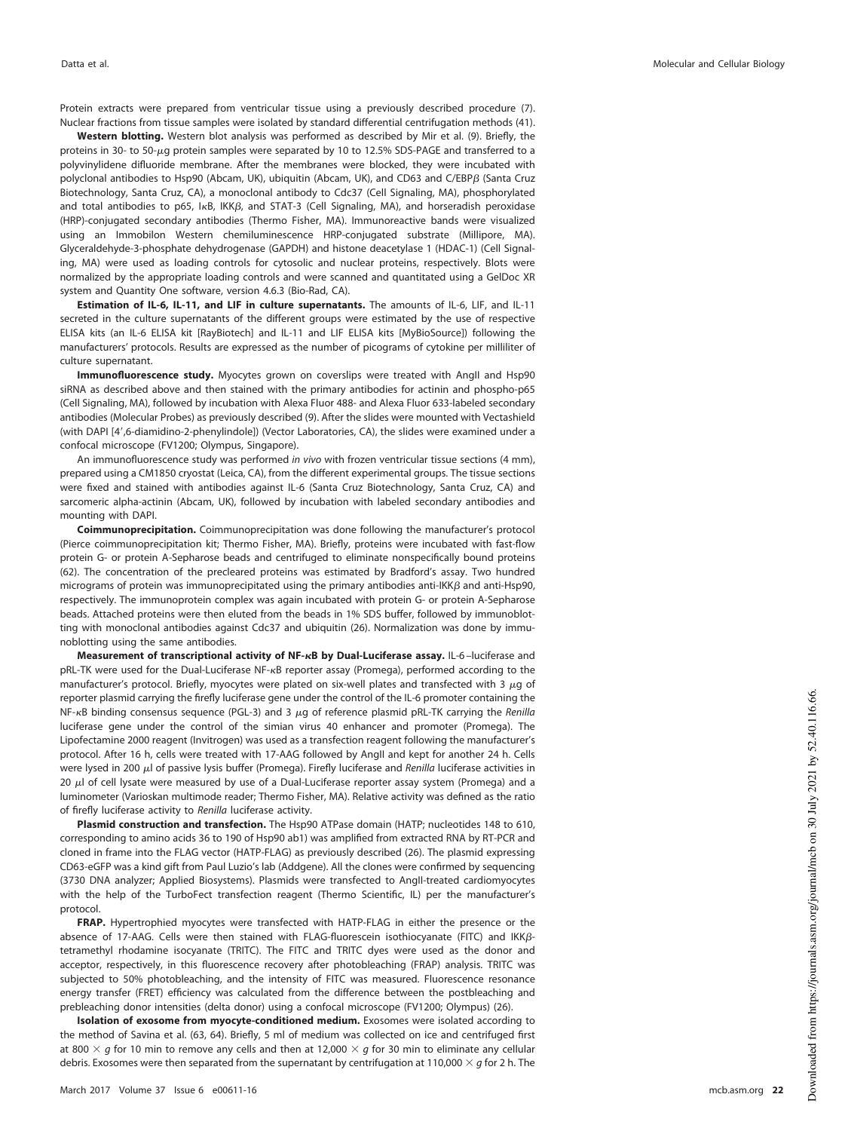Protein extracts were prepared from ventricular tissue using a previously described procedure [\(7\)](#page-22-6). Nuclear fractions from tissue samples were isolated by standard differential centrifugation methods [\(41\)](#page-23-22).

**Western blotting.** Western blot analysis was performed as described by Mir et al. [\(9\)](#page-22-8). Briefly, the proteins in 30- to 50-µg protein samples were separated by 10 to 12.5% SDS-PAGE and transferred to a polyvinylidene difluoride membrane. After the membranes were blocked, they were incubated with polyclonal antibodies to Hsp90 (Abcam, UK), ubiquitin (Abcam, UK), and CD63 and C/EBP $\beta$  (Santa Cruz Biotechnology, Santa Cruz, CA), a monoclonal antibody to Cdc37 (Cell Signaling, MA), phosphorylated and total antibodies to p65, I<sub>KB</sub>, IKK<sub>B</sub>, and STAT-3 (Cell Signaling, MA), and horseradish peroxidase (HRP)-conjugated secondary antibodies (Thermo Fisher, MA). Immunoreactive bands were visualized using an Immobilon Western chemiluminescence HRP-conjugated substrate (Millipore, MA). Glyceraldehyde-3-phosphate dehydrogenase (GAPDH) and histone deacetylase 1 (HDAC-1) (Cell Signaling, MA) were used as loading controls for cytosolic and nuclear proteins, respectively. Blots were normalized by the appropriate loading controls and were scanned and quantitated using a GelDoc XR system and Quantity One software, version 4.6.3 (Bio-Rad, CA).

**Estimation of IL-6, IL-11, and LIF in culture supernatants.** The amounts of IL-6, LIF, and IL-11 secreted in the culture supernatants of the different groups were estimated by the use of respective ELISA kits (an IL-6 ELISA kit [RayBiotech] and IL-11 and LIF ELISA kits [MyBioSource]) following the manufacturers' protocols. Results are expressed as the number of picograms of cytokine per milliliter of culture supernatant.

**Immunofluorescence study.** Myocytes grown on coverslips were treated with AngII and Hsp90 siRNA as described above and then stained with the primary antibodies for actinin and phospho-p65 (Cell Signaling, MA), followed by incubation with Alexa Fluor 488- and Alexa Fluor 633-labeled secondary antibodies (Molecular Probes) as previously described [\(9\)](#page-22-8). After the slides were mounted with Vectashield (with DAPI [4',6-diamidino-2-phenylindole]) (Vector Laboratories, CA), the slides were examined under a confocal microscope (FV1200; Olympus, Singapore).

An immunofluorescence study was performed in vivo with frozen ventricular tissue sections (4 mm), prepared using a CM1850 cryostat (Leica, CA), from the different experimental groups. The tissue sections were fixed and stained with antibodies against IL-6 (Santa Cruz Biotechnology, Santa Cruz, CA) and sarcomeric alpha-actinin (Abcam, UK), followed by incubation with labeled secondary antibodies and mounting with DAPI.

**Coimmunoprecipitation.** Coimmunoprecipitation was done following the manufacturer's protocol (Pierce coimmunoprecipitation kit; Thermo Fisher, MA). Briefly, proteins were incubated with fast-flow protein G- or protein A-Sepharose beads and centrifuged to eliminate nonspecifically bound proteins [\(62\)](#page-24-5). The concentration of the precleared proteins was estimated by Bradford's assay. Two hundred micrograms of protein was immunoprecipitated using the primary antibodies anti-IKK $\beta$  and anti-Hsp90, respectively. The immunoprotein complex was again incubated with protein G- or protein A-Sepharose beads. Attached proteins were then eluted from the beads in 1% SDS buffer, followed by immunoblotting with monoclonal antibodies against Cdc37 and ubiquitin [\(26\)](#page-23-8). Normalization was done by immunoblotting using the same antibodies.

**Measurement of transcriptional activity of NF-B by Dual-Luciferase assay.** IL-6 –luciferase and pRL-TK were used for the Dual-Luciferase NF-<sub>KB</sub> reporter assay (Promega), performed according to the manufacturer's protocol. Briefly, myocytes were plated on six-well plates and transfected with 3  $\mu$ g of reporter plasmid carrying the firefly luciferase gene under the control of the IL-6 promoter containing the NF- $\kappa$ B binding consensus sequence (PGL-3) and 3  $\mu$ g of reference plasmid pRL-TK carrying the Renilla luciferase gene under the control of the simian virus 40 enhancer and promoter (Promega). The Lipofectamine 2000 reagent (Invitrogen) was used as a transfection reagent following the manufacturer's protocol. After 16 h, cells were treated with 17-AAG followed by AngII and kept for another 24 h. Cells were lysed in 200  $\mu$ l of passive lysis buffer (Promega). Firefly luciferase and Renilla luciferase activities in 20  $\mu$ l of cell lysate were measured by use of a Dual-Luciferase reporter assay system (Promega) and a luminometer (Varioskan multimode reader; Thermo Fisher, MA). Relative activity was defined as the ratio of firefly luciferase activity to Renilla luciferase activity.

**Plasmid construction and transfection.** The Hsp90 ATPase domain (HATP; nucleotides 148 to 610, corresponding to amino acids 36 to 190 of Hsp90 ab1) was amplified from extracted RNA by RT-PCR and cloned in frame into the FLAG vector (HATP-FLAG) as previously described [\(26\)](#page-23-8). The plasmid expressing CD63-eGFP was a kind gift from Paul Luzio's lab (Addgene). All the clones were confirmed by sequencing (3730 DNA analyzer; Applied Biosystems). Plasmids were transfected to AngII-treated cardiomyocytes with the help of the TurboFect transfection reagent (Thermo Scientific, IL) per the manufacturer's protocol.

**FRAP.** Hypertrophied myocytes were transfected with HATP-FLAG in either the presence or the absence of 17-AAG. Cells were then stained with FLAG-fluorescein isothiocyanate (FITC) and IKK $\beta$ tetramethyl rhodamine isocyanate (TRITC). The FITC and TRITC dyes were used as the donor and acceptor, respectively, in this fluorescence recovery after photobleaching (FRAP) analysis. TRITC was subjected to 50% photobleaching, and the intensity of FITC was measured. Fluorescence resonance energy transfer (FRET) efficiency was calculated from the difference between the postbleaching and prebleaching donor intensities (delta donor) using a confocal microscope (FV1200; Olympus) [\(26\)](#page-23-8).

**Isolation of exosome from myocyte-conditioned medium.** Exosomes were isolated according to the method of Savina et al. [\(63,](#page-24-6) [64\)](#page-24-7). Briefly, 5 ml of medium was collected on ice and centrifuged first at 800  $\times$  g for 10 min to remove any cells and then at 12,000  $\times$  g for 30 min to eliminate any cellular debris. Exosomes were then separated from the supernatant by centrifugation at 110,000  $\times$  g for 2 h. The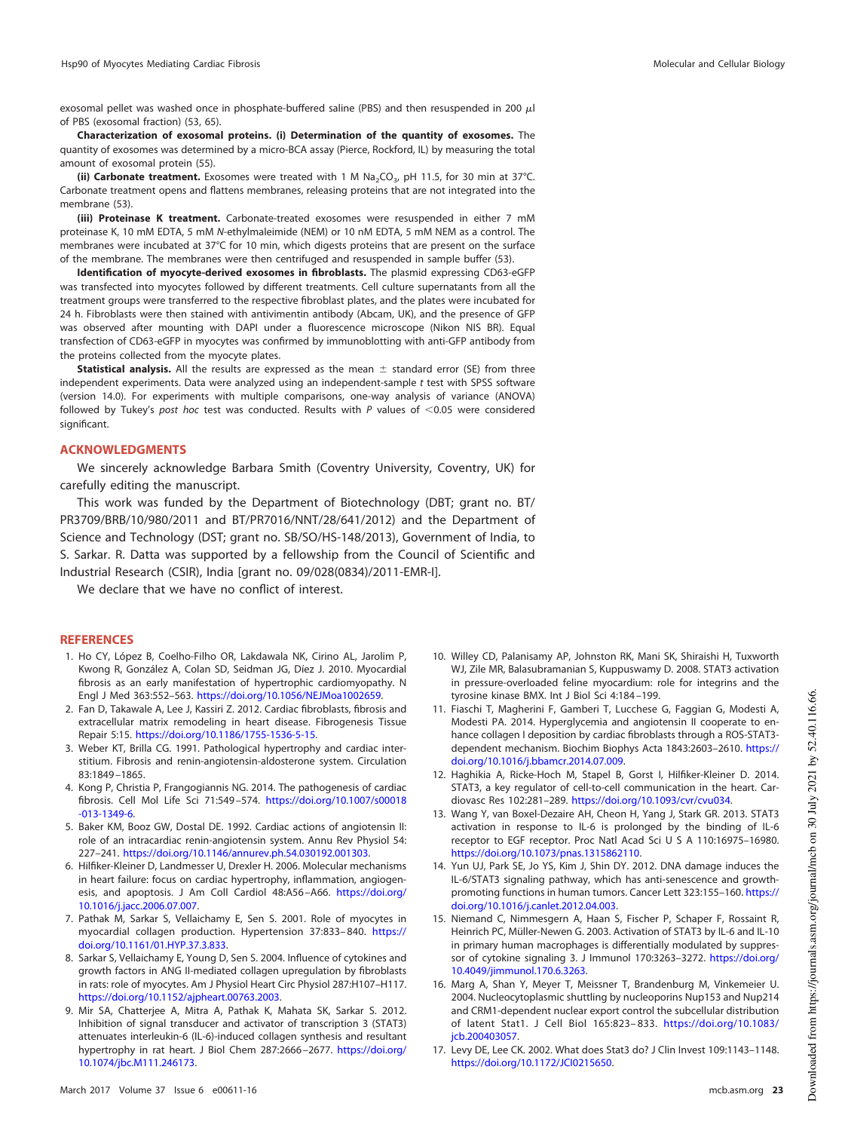exosomal pellet was washed once in phosphate-buffered saline (PBS) and then resuspended in 200  $\mu$ l of PBS (exosomal fraction) [\(53,](#page-23-34) [65\)](#page-24-8).

**Characterization of exosomal proteins. (i) Determination of the quantity of exosomes.** The quantity of exosomes was determined by a micro-BCA assay (Pierce, Rockford, IL) by measuring the total amount of exosomal protein [\(55\)](#page-23-36).

**(ii) Carbonate treatment.** Exosomes were treated with 1 M Na<sub>2</sub>CO<sub>3</sub>, pH 11.5, for 30 min at 37°C. Carbonate treatment opens and flattens membranes, releasing proteins that are not integrated into the membrane [\(53\)](#page-23-34).

**(iii) Proteinase K treatment.** Carbonate-treated exosomes were resuspended in either 7 mM proteinase K, 10 mM EDTA, 5 mM N-ethylmaleimide (NEM) or 10 nM EDTA, 5 mM NEM as a control. The membranes were incubated at 37°C for 10 min, which digests proteins that are present on the surface of the membrane. The membranes were then centrifuged and resuspended in sample buffer [\(53\)](#page-23-34).

**Identification of myocyte-derived exosomes in fibroblasts.** The plasmid expressing CD63-eGFP was transfected into myocytes followed by different treatments. Cell culture supernatants from all the treatment groups were transferred to the respective fibroblast plates, and the plates were incubated for 24 h. Fibroblasts were then stained with antivimentin antibody (Abcam, UK), and the presence of GFP was observed after mounting with DAPI under a fluorescence microscope (Nikon NIS BR). Equal transfection of CD63-eGFP in myocytes was confirmed by immunoblotting with anti-GFP antibody from the proteins collected from the myocyte plates.

Statistical analysis. All the results are expressed as the mean  $\pm$  standard error (SE) from three independent experiments. Data were analyzed using an independent-sample t test with SPSS software (version 14.0). For experiments with multiple comparisons, one-way analysis of variance (ANOVA) followed by Tukey's post hoc test was conducted. Results with  $P$  values of  $<$ 0.05 were considered significant.

#### **ACKNOWLEDGMENTS**

We sincerely acknowledge Barbara Smith (Coventry University, Coventry, UK) for carefully editing the manuscript.

This work was funded by the Department of Biotechnology (DBT; grant no. BT/ PR3709/BRB/10/980/2011 and BT/PR7016/NNT/28/641/2012) and the Department of Science and Technology (DST; grant no. SB/SO/HS-148/2013), Government of India, to S. Sarkar. R. Datta was supported by a fellowship from the Council of Scientific and Industrial Research (CSIR), India [grant no. 09/028(0834)/2011-EMR-I].

We declare that we have no conflict of interest.

### <span id="page-22-0"></span>**REFERENCES**

- 1. Ho CY, López B, Coelho-Filho OR, Lakdawala NK, Cirino AL, Jarolim P, Kwong R, González A, Colan SD, Seidman JG, Díez J. 2010. Myocardial fibrosis as an early manifestation of hypertrophic cardiomyopathy. N Engl J Med 363:552–563. https://doi.org/10.1056/NEJMoa1002659.
- <span id="page-22-2"></span><span id="page-22-1"></span>2. Fan D, Takawale A, Lee J, Kassiri Z. 2012. Cardiac fibroblasts, fibrosis and extracellular matrix remodeling in heart disease. Fibrogenesis Tissue Repair 5:15. https://doi.org/10.1186/1755-1536-5-15.
- <span id="page-22-3"></span>3. Weber KT, Brilla CG. 1991. Pathological hypertrophy and cardiac interstitium. Fibrosis and renin-angiotensin-aldosterone system. Circulation 83:1849 –1865.
- 4. Kong P, Christia P, Frangogiannis NG. 2014. The pathogenesis of cardiac fibrosis. Cell Mol Life Sci 71:549 –574. https://doi.org/10.1007/s00018 -013-1349-6.
- <span id="page-22-5"></span><span id="page-22-4"></span>5. Baker KM, Booz GW, Dostal DE. 1992. Cardiac actions of angiotensin II: role of an intracardiac renin-angiotensin system. Annu Rev Physiol 54: 227–241. https://doi.org/10.1146/annurev.ph.54.030192.001303.
- 6. Hilfiker-Kleiner D, Landmesser U, Drexler H. 2006. Molecular mechanisms in heart failure: focus on cardiac hypertrophy, inflammation, angiogenesis, and apoptosis. J Am Coll Cardiol 48:A56-A66. https://doi.org/ 10.1016/j.jacc.2006.07.007.
- <span id="page-22-7"></span><span id="page-22-6"></span>7. Pathak M, Sarkar S, Vellaichamy E, Sen S. 2001. Role of myocytes in myocardial collagen production. Hypertension 37:833– 840. https:// doi.org/10.1161/01.HYP.37.3.833.
- 8. Sarkar S, Vellaichamy E, Young D, Sen S. 2004. Influence of cytokines and growth factors in ANG II-mediated collagen upregulation by fibroblasts in rats: role of myocytes. Am J Physiol Heart Circ Physiol 287:H107–H117. https://doi.org/10.1152/ajpheart.00763.2003.
- <span id="page-22-8"></span>9. Mir SA, Chatterjee A, Mitra A, Pathak K, Mahata SK, Sarkar S. 2012. Inhibition of signal transducer and activator of transcription 3 (STAT3) attenuates interleukin-6 (IL-6)-induced collagen synthesis and resultant hypertrophy in rat heart. J Biol Chem 287:2666 –2677. https://doi.org/ 10.1074/jbc.M111.246173.
- <span id="page-22-9"></span>10. Willey CD, Palanisamy AP, Johnston RK, Mani SK, Shiraishi H, Tuxworth WJ, Zile MR, Balasubramanian S, Kuppuswamy D. 2008. STAT3 activation in pressure-overloaded feline myocardium: role for integrins and the tyrosine kinase BMX. Int J Biol Sci 4:184 –199.
- <span id="page-22-10"></span>11. Fiaschi T, Magherini F, Gamberi T, Lucchese G, Faggian G, Modesti A, Modesti PA. 2014. Hyperglycemia and angiotensin II cooperate to enhance collagen I deposition by cardiac fibroblasts through a ROS-STAT3 dependent mechanism. Biochim Biophys Acta 1843:2603–2610. https:// doi.org/10.1016/j.bbamcr.2014.07.009.
- <span id="page-22-12"></span><span id="page-22-11"></span>12. Haghikia A, Ricke-Hoch M, Stapel B, Gorst I, Hilfiker-Kleiner D. 2014. STAT3, a key regulator of cell-to-cell communication in the heart. Cardiovasc Res 102:281–289. https://doi.org/10.1093/cvr/cvu034.
- 13. Wang Y, van Boxel-Dezaire AH, Cheon H, Yang J, Stark GR. 2013. STAT3 activation in response to IL-6 is prolonged by the binding of IL-6 receptor to EGF receptor. Proc Natl Acad Sci U S A 110:16975-16980. https://doi.org/10.1073/pnas.1315862110.
- <span id="page-22-13"></span>14. Yun UJ, Park SE, Jo YS, Kim J, Shin DY. 2012. DNA damage induces the IL-6/STAT3 signaling pathway, which has anti-senescence and growthpromoting functions in human tumors. Cancer Lett 323:155–160. https:// doi.org/10.1016/j.canlet.2012.04.003.
- <span id="page-22-14"></span>15. Niemand C, Nimmesgern A, Haan S, Fischer P, Schaper F, Rossaint R, Heinrich PC, Müller-Newen G. 2003. Activation of STAT3 by IL-6 and IL-10 in primary human macrophages is differentially modulated by suppressor of cytokine signaling 3. J Immunol 170:3263–3272. https://doi.org/ 10.4049/jimmunol.170.6.3263.
- <span id="page-22-15"></span>16. Marg A, Shan Y, Meyer T, Meissner T, Brandenburg M, Vinkemeier U. 2004. Nucleocytoplasmic shuttling by nucleoporins Nup153 and Nup214 and CRM1-dependent nuclear export control the subcellular distribution of latent Stat1. J Cell Biol 165:823– 833. https://doi.org/10.1083/ jcb.200403057.
- <span id="page-22-16"></span>17. Levy DE, Lee CK. 2002. What does Stat3 do? J Clin Invest 109:1143–1148. https://doi.org/10.1172/JCI0215650.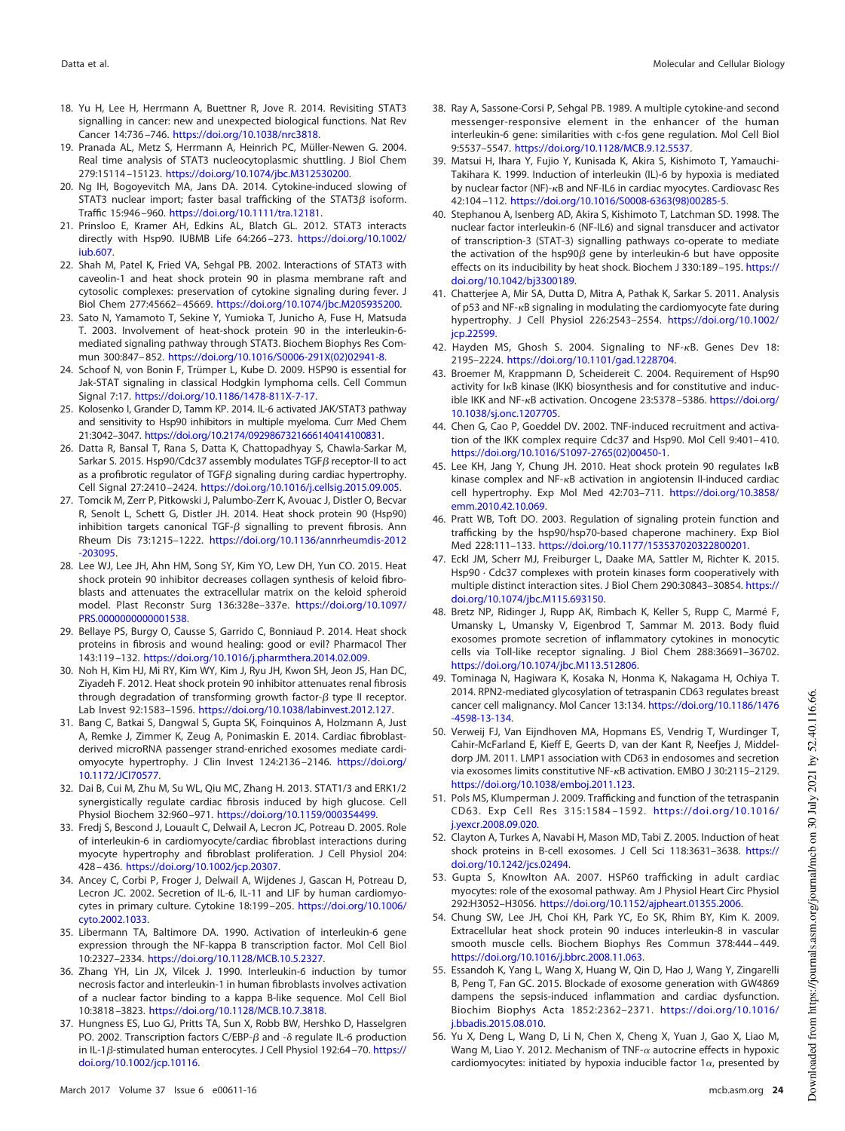- <span id="page-23-0"></span>18. Yu H, Lee H, Herrmann A, Buettner R, Jove R. 2014. Revisiting STAT3 signalling in cancer: new and unexpected biological functions. Nat Rev Cancer 14:736 –746. https://doi.org/10.1038/nrc3818.
- <span id="page-23-1"></span>19. Pranada AL, Metz S, Herrmann A, Heinrich PC, Müller-Newen G. 2004. Real time analysis of STAT3 nucleocytoplasmic shuttling. J Biol Chem 279:15114 –15123. https://doi.org/10.1074/jbc.M312530200.
- <span id="page-23-2"></span>20. Ng IH, Bogoyevitch MA, Jans DA. 2014. Cytokine-induced slowing of STAT3 nuclear import; faster basal trafficking of the STAT3 $\beta$  isoform. Traffic 15:946 –960. https://doi.org/10.1111/tra.12181.
- <span id="page-23-3"></span>21. Prinsloo E, Kramer AH, Edkins AL, Blatch GL. 2012. STAT3 interacts directly with Hsp90. IUBMB Life 64:266 –273. https://doi.org/10.1002/ iub.607.
- <span id="page-23-4"></span>22. Shah M, Patel K, Fried VA, Sehgal PB. 2002. Interactions of STAT3 with caveolin-1 and heat shock protein 90 in plasma membrane raft and cytosolic complexes: preservation of cytokine signaling during fever. J Biol Chem 277:45662– 45669. https://doi.org/10.1074/jbc.M205935200.
- <span id="page-23-5"></span>23. Sato N, Yamamoto T, Sekine Y, Yumioka T, Junicho A, Fuse H, Matsuda T. 2003. Involvement of heat-shock protein 90 in the interleukin-6 mediated signaling pathway through STAT3. Biochem Biophys Res Commun 300:847– 852. https://doi.org/10.1016/S0006-291X(02)02941-8.
- <span id="page-23-6"></span>24. Schoof N, von Bonin F, Trümper L, Kube D. 2009. HSP90 is essential for Jak-STAT signaling in classical Hodgkin lymphoma cells. Cell Commun Signal 7:17. https://doi.org/10.1186/1478-811X-7-17.
- <span id="page-23-7"></span>25. Kolosenko I, Grander D, Tamm KP. 2014. IL-6 activated JAK/STAT3 pathway and sensitivity to Hsp90 inhibitors in multiple myeloma. Curr Med Chem 21:3042–3047. https://doi.org/10.2174/0929867321666140414100831.
- <span id="page-23-8"></span>26. Datta R, Bansal T, Rana S, Datta K, Chattopadhyay S, Chawla-Sarkar M, Sarkar S. 2015. Hsp90/Cdc37 assembly modulates TGF $\beta$  receptor-II to act as a profibrotic regulator of TGF $\beta$  signaling during cardiac hypertrophy. Cell Signal 27:2410 –2424. https://doi.org/10.1016/j.cellsig.2015.09.005.
- <span id="page-23-9"></span>27. Tomcik M, Zerr P, Pitkowski J, Palumbo-Zerr K, Avouac J, Distler O, Becvar R, Senolt L, Schett G, Distler JH. 2014. Heat shock protein 90 (Hsp90) inhibition targets canonical TGF- $\beta$  signalling to prevent fibrosis. Ann Rheum Dis 73:1215–1222. https://doi.org/10.1136/annrheumdis-2012 -203095.
- 28. Lee WJ, Lee JH, Ahn HM, Song SY, Kim YO, Lew DH, Yun CO. 2015. Heat shock protein 90 inhibitor decreases collagen synthesis of keloid fibroblasts and attenuates the extracellular matrix on the keloid spheroid model. Plast Reconstr Surg 136:328e–337e. https://doi.org/10.1097/ PRS.0000000000001538.
- <span id="page-23-10"></span>29. Bellaye PS, Burgy O, Causse S, Garrido C, Bonniaud P. 2014. Heat shock proteins in fibrosis and wound healing: good or evil? Pharmacol Ther 143:119 –132. https://doi.org/10.1016/j.pharmthera.2014.02.009.
- <span id="page-23-11"></span>30. Noh H, Kim HJ, Mi RY, Kim WY, Kim J, Ryu JH, Kwon SH, Jeon JS, Han DC, Ziyadeh F. 2012. Heat shock protein 90 inhibitor attenuates renal fibrosis through degradation of transforming growth factor- $\beta$  type II receptor. Lab Invest 92:1583–1596. https://doi.org/10.1038/labinvest.2012.127.
- <span id="page-23-12"></span>31. Bang C, Batkai S, Dangwal S, Gupta SK, Foinquinos A, Holzmann A, Just A, Remke J, Zimmer K, Zeug A, Ponimaskin E. 2014. Cardiac fibroblastderived microRNA passenger strand-enriched exosomes mediate cardiomyocyte hypertrophy. J Clin Invest 124:2136 –2146. https://doi.org/ 10.1172/JCI70577.
- <span id="page-23-14"></span><span id="page-23-13"></span>32. Dai B, Cui M, Zhu M, Su WL, Qiu MC, Zhang H. 2013. STAT1/3 and ERK1/2 synergistically regulate cardiac fibrosis induced by high glucose. Cell Physiol Biochem 32:960 –971. https://doi.org/10.1159/000354499.
- 33. Fredj S, Bescond J, Louault C, Delwail A, Lecron JC, Potreau D. 2005. Role of interleukin-6 in cardiomyocyte/cardiac fibroblast interactions during myocyte hypertrophy and fibroblast proliferation. J Cell Physiol 204: 428 – 436. https://doi.org/10.1002/jcp.20307.
- <span id="page-23-15"></span>34. Ancey C, Corbi P, Froger J, Delwail A, Wijdenes J, Gascan H, Potreau D, Lecron JC. 2002. Secretion of IL-6, IL-11 and LIF by human cardiomyocytes in primary culture. Cytokine 18:199 –205. https://doi.org/10.1006/ cyto.2002.1033.
- <span id="page-23-17"></span><span id="page-23-16"></span>35. Libermann TA, Baltimore DA. 1990. Activation of interleukin-6 gene expression through the NF-kappa B transcription factor. Mol Cell Biol 10:2327–2334. https://doi.org/10.1128/MCB.10.5.2327.
- 36. Zhang YH, Lin JX, Vilcek J. 1990. Interleukin-6 induction by tumor necrosis factor and interleukin-1 in human fibroblasts involves activation of a nuclear factor binding to a kappa B-like sequence. Mol Cell Biol 10:3818 –3823. https://doi.org/10.1128/MCB.10.7.3818.
- <span id="page-23-18"></span>37. Hungness ES, Luo GJ, Pritts TA, Sun X, Robb BW, Hershko D, Hasselgren PO. 2002. Transcription factors C/EBP- $\beta$  and - $\delta$  regulate IL-6 production in IL-1β-stimulated human enterocytes. J Cell Physiol 192:64–70. https:// doi.org/10.1002/jcp.10116.
- <span id="page-23-19"></span>38. Ray A, Sassone-Corsi P, Sehgal PB. 1989. A multiple cytokine-and second messenger-responsive element in the enhancer of the human interleukin-6 gene: similarities with c-fos gene regulation. Mol Cell Biol 9:5537–5547. https://doi.org/10.1128/MCB.9.12.5537.
- <span id="page-23-20"></span>39. Matsui H, Ihara Y, Fujio Y, Kunisada K, Akira S, Kishimoto T, Yamauchi-Takihara K. 1999. Induction of interleukin (IL)-6 by hypoxia is mediated by nuclear factor (NF)- $\kappa$ B and NF-IL6 in cardiac myocytes. Cardiovasc Res 42:104 –112. https://doi.org/10.1016/S0008-6363(98)00285-5.
- <span id="page-23-21"></span>40. Stephanou A, Isenberg AD, Akira S, Kishimoto T, Latchman SD. 1998. The nuclear factor interleukin-6 (NF-IL6) and signal transducer and activator of transcription-3 (STAT-3) signalling pathways co-operate to mediate the activation of the hsp90 $\beta$  gene by interleukin-6 but have opposite effects on its inducibility by heat shock. Biochem J 330:189 –195. https:// doi.org/10.1042/bj3300189.
- <span id="page-23-22"></span>41. Chatterjee A, Mir SA, Dutta D, Mitra A, Pathak K, Sarkar S. 2011. Analysis of  $p53$  and NF- $\kappa$ B signaling in modulating the cardiomyocyte fate during hypertrophy. J Cell Physiol 226:2543–2554. https://doi.org/10.1002/ jcp.22599.
- <span id="page-23-24"></span><span id="page-23-23"></span>42. Hayden MS, Ghosh S. 2004. Signaling to NF-KB. Genes Dev 18: 2195–2224. https://doi.org/10.1101/gad.1228704.
- 43. Broemer M, Krappmann D, Scheidereit C. 2004. Requirement of Hsp90 activity for I<sub>K</sub>B kinase (IKK) biosynthesis and for constitutive and inducible IKK and NF-KB activation. Oncogene 23:5378-5386. https://doi.org/ 10.1038/sj.onc.1207705.
- <span id="page-23-25"></span>44. Chen G, Cao P, Goeddel DV. 2002. TNF-induced recruitment and activation of the IKK complex require Cdc37 and Hsp90. Mol Cell 9:401– 410. https://doi.org/10.1016/S1097-2765(02)00450-1.
- <span id="page-23-26"></span>45. Lee KH, Jang Y, Chung JH. 2010. Heat shock protein 90 regulates I<sub>K</sub>B kinase complex and  $NF-\kappa B$  activation in angiotensin II-induced cardiac cell hypertrophy. Exp Mol Med 42:703–711. https://doi.org/10.3858/ emm.2010.42.10.069.
- <span id="page-23-27"></span>46. Pratt WB, Toft DO. 2003. Regulation of signaling protein function and trafficking by the hsp90/hsp70-based chaperone machinery. Exp Biol Med 228:111–133. https://doi.org/10.1177/153537020322800201.
- <span id="page-23-28"></span>47. Eckl JM, Scherr MJ, Freiburger L, Daake MA, Sattler M, Richter K. 2015. Hsp90 · Cdc37 complexes with protein kinases form cooperatively with multiple distinct interaction sites. J Biol Chem 290:30843–30854. https:// doi.org/10.1074/jbc.M115.693150.
- <span id="page-23-29"></span>48. Bretz NP, Ridinger J, Rupp AK, Rimbach K, Keller S, Rupp C, Marmé F, Umansky L, Umansky V, Eigenbrod T, Sammar M. 2013. Body fluid exosomes promote secretion of inflammatory cytokines in monocytic cells via Toll-like receptor signaling. J Biol Chem 288:36691–36702. https://doi.org/10.1074/jbc.M113.512806.
- <span id="page-23-30"></span>49. Tominaga N, Hagiwara K, Kosaka N, Honma K, Nakagama H, Ochiya T. 2014. RPN2-mediated glycosylation of tetraspanin CD63 regulates breast cancer cell malignancy. Mol Cancer 13:134. https://doi.org/10.1186/1476 -4598-13-134.
- <span id="page-23-31"></span>50. Verweij FJ, Van Eijndhoven MA, Hopmans ES, Vendrig T, Wurdinger T, Cahir-McFarland E, Kieff E, Geerts D, van der Kant R, Neefjes J, Middeldorp JM. 2011. LMP1 association with CD63 in endosomes and secretion via exosomes limits constitutive NF-KB activation. EMBO J 30:2115-2129. https://doi.org/10.1038/emboj.2011.123.
- <span id="page-23-33"></span><span id="page-23-32"></span>51. Pols MS, Klumperman J. 2009. Trafficking and function of the tetraspanin CD63. Exp Cell Res 315:1584 –1592. https://doi.org/10.1016/ j.yexcr.2008.09.020.
- <span id="page-23-34"></span>52. Clayton A, Turkes A, Navabi H, Mason MD, Tabi Z. 2005. Induction of heat shock proteins in B-cell exosomes. J Cell Sci 118:3631–3638. https:// doi.org/10.1242/jcs.02494.
- <span id="page-23-35"></span>53. Gupta S, Knowlton AA. 2007. HSP60 trafficking in adult cardiac myocytes: role of the exosomal pathway. Am J Physiol Heart Circ Physiol 292:H3052–H3056. https://doi.org/10.1152/ajpheart.01355.2006.
- 54. Chung SW, Lee JH, Choi KH, Park YC, Eo SK, Rhim BY, Kim K. 2009. Extracellular heat shock protein 90 induces interleukin-8 in vascular smooth muscle cells. Biochem Biophys Res Commun 378:444 – 449. https://doi.org/10.1016/j.bbrc.2008.11.063.
- <span id="page-23-36"></span>55. Essandoh K, Yang L, Wang X, Huang W, Qin D, Hao J, Wang Y, Zingarelli B, Peng T, Fan GC. 2015. Blockade of exosome generation with GW4869 dampens the sepsis-induced inflammation and cardiac dysfunction. Biochim Biophys Acta 1852:2362–2371. https://doi.org/10.1016/ j.bbadis.2015.08.010.
- <span id="page-23-37"></span>56. Yu X, Deng L, Wang D, Li N, Chen X, Cheng X, Yuan J, Gao X, Liao M, Wang M, Liao Y. 2012. Mechanism of TNF- $\alpha$  autocrine effects in hypoxic cardiomyocytes: initiated by hypoxia inducible factor  $1\alpha$ , presented by